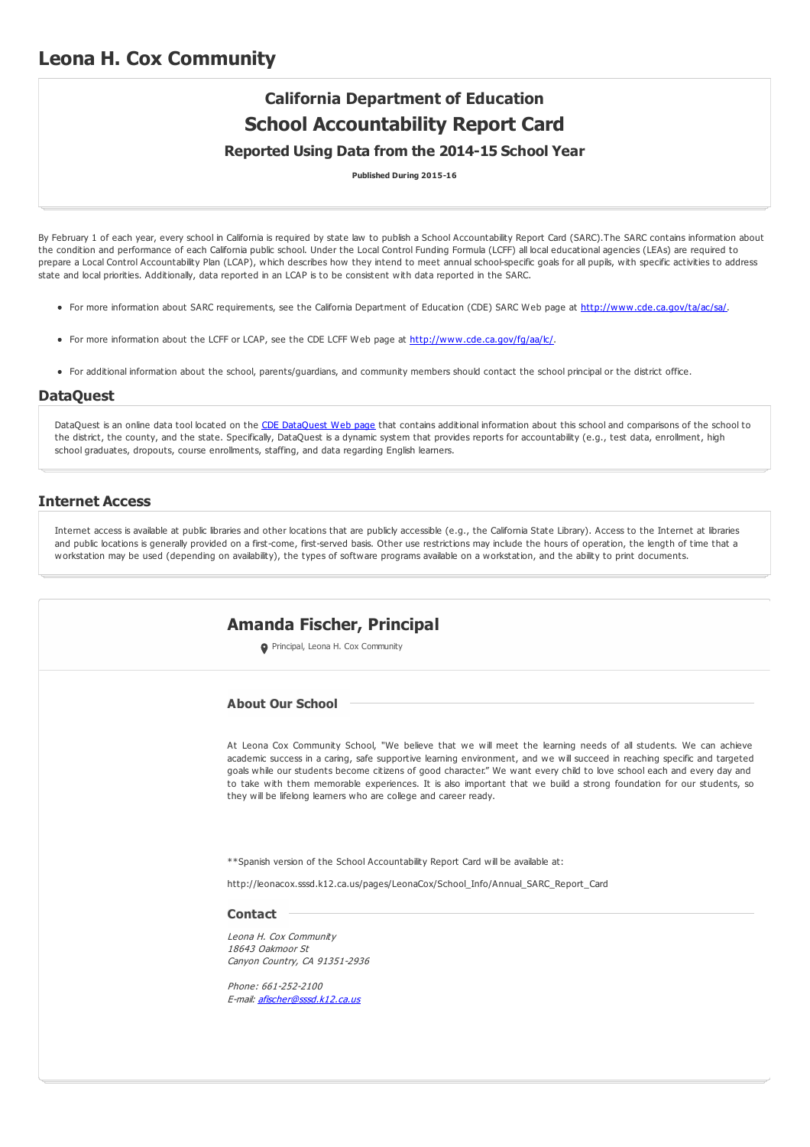# **California Department of Education School Accountability Report Card**

### **Reported Using Data from the 2014-15 School Year**

**Published During 2015-16**

By February 1 of each year, every school in California is required by state law to publish a School Accountability Report Card (SARC). The SARC contains information about the condition and performance of each California public school. Under the Local Control Funding Formula (LCFF) all local educational agencies (LEAs) are required to prepare a Local Control Accountability Plan (LCAP), which describes how they intend to meet annual school-specific goals for all pupils, with specific activities to address state and local priorities. Additionally, data reported in an LCAP is to be consistent with data reported in the SARC.

- For more information about SARC requirements, see the California Department of Education (CDE) SARC Web page at <http://www.cde.ca.gov/ta/ac/sa/>.
- For more information about the LCFF or LCAP, see the CDE LCFF Web page at <http://www.cde.ca.gov/fg/aa/lc/>.
- For additional information about the school, parents/guardians, and community members should contact the school principal or the district office.

#### **DataQuest**

[DataQuest](http://dq.cde.ca.gov/dataquest/) is an online data tool located on the CDE DataQuest Web page that contains additional information about this school and comparisons of the school to the district, the county, and the state. Specifically, DataQuest is a dynamic system that provides reports for accountability (e.g., test data, enrollment, high school graduates, dropouts, course enrollments, staffing, and data regarding English learners.

#### **Internet Access**

Internet access is available at public libraries and other locations that are publicly accessible (e.g., the California State Library). Access to the Internet at libraries and public locations is generally provided on a first-come, first-served basis. Other use restrictions may include the hours of operation, the length of time that a workstation may be used (depending on availability), the types of software programs available on a workstation, and the ability to print documents.

| Amanda Fischer, Principal                                                                                                                                                                                                                                                                                                                                                                                                                                                                                                                                          |
|--------------------------------------------------------------------------------------------------------------------------------------------------------------------------------------------------------------------------------------------------------------------------------------------------------------------------------------------------------------------------------------------------------------------------------------------------------------------------------------------------------------------------------------------------------------------|
| Principal, Leona H. Cox Community                                                                                                                                                                                                                                                                                                                                                                                                                                                                                                                                  |
| <b>About Our School</b>                                                                                                                                                                                                                                                                                                                                                                                                                                                                                                                                            |
| At Leona Cox Community School, "We believe that we will meet the learning needs of all students. We can achieve<br>academic success in a caring, safe supportive learning environment, and we will succeed in reaching specific and targeted<br>goals while our students become citizens of good character." We want every child to love school each and every day and<br>to take with them memorable experiences. It is also important that we build a strong foundation for our students, so<br>they will be lifelong learners who are college and career ready. |
| **Spanish version of the School Accountability Report Card will be available at:                                                                                                                                                                                                                                                                                                                                                                                                                                                                                   |
| http://leonacox.sssd.k12.ca.us/pages/LeonaCox/School_Info/Annual_SARC_Report_Card                                                                                                                                                                                                                                                                                                                                                                                                                                                                                  |
| <b>Contact</b>                                                                                                                                                                                                                                                                                                                                                                                                                                                                                                                                                     |
| Leona H. Cox Community<br>18643 Oakmoor St<br>Canyon Country, CA 91351-2936                                                                                                                                                                                                                                                                                                                                                                                                                                                                                        |
| Phone: 661-252-2100<br>E-mail: afischer@sssd.k12.ca.us                                                                                                                                                                                                                                                                                                                                                                                                                                                                                                             |
|                                                                                                                                                                                                                                                                                                                                                                                                                                                                                                                                                                    |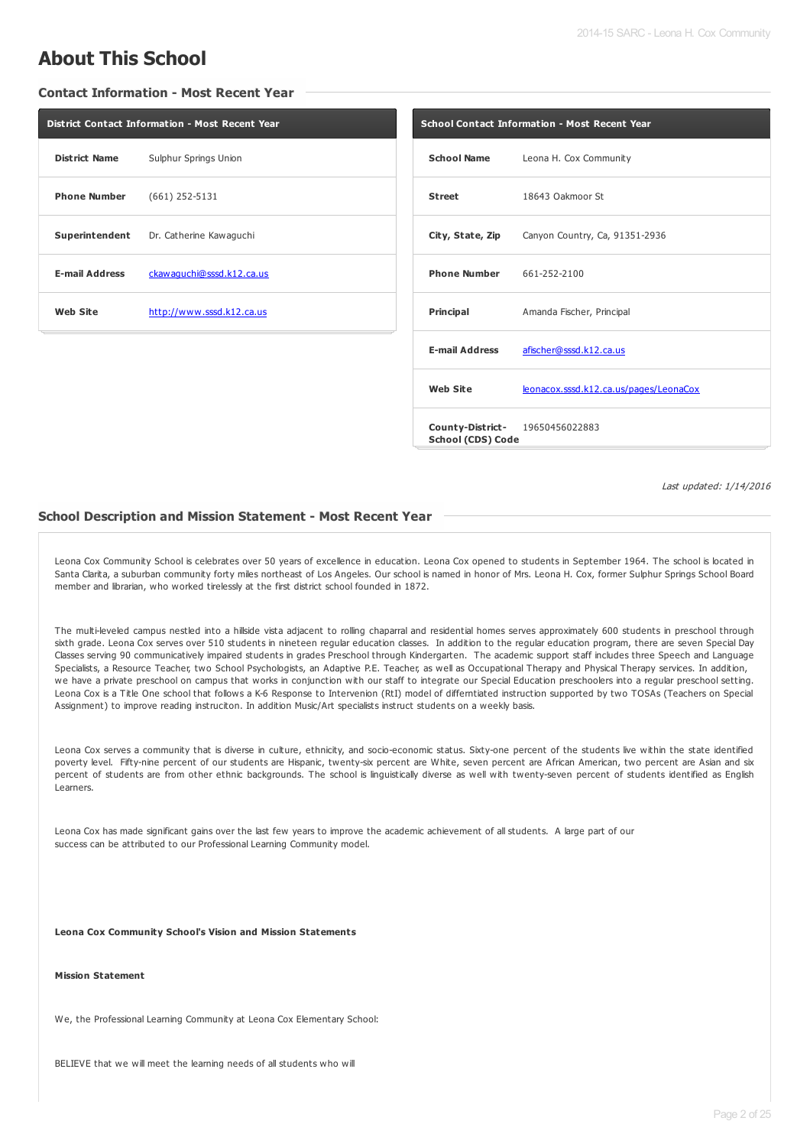# **About This School**

#### **Contact Information - Most Recent Year**

| <b>District Contact Information - Most Recent Year</b> |                  |  |  |  |  |  |
|--------------------------------------------------------|------------------|--|--|--|--|--|
| <b>District Name</b><br>Sulphur Springs Union          |                  |  |  |  |  |  |
| <b>Phone Number</b>                                    | $(661)$ 252-5131 |  |  |  |  |  |
| <b>Superintendent</b> Dr. Catherine Kawaguchi          |                  |  |  |  |  |  |
| <b>E-mail Address</b><br>ckawaquchi@sssd.k12.ca.us     |                  |  |  |  |  |  |
| Web Site<br>http://www.sssd.k12.ca.us                  |                  |  |  |  |  |  |
|                                                        |                  |  |  |  |  |  |

| <b>School Contact Information - Most Recent Year</b> |                                                 |  |  |  |
|------------------------------------------------------|-------------------------------------------------|--|--|--|
|                                                      | School Name Leona H. Cox Community              |  |  |  |
| <b>Street</b>                                        | 18643 Oakmoor St                                |  |  |  |
|                                                      | City, State, Zip Canyon Country, Ca, 91351-2936 |  |  |  |
| <b>Phone Number</b> 661-252-2100                     |                                                 |  |  |  |
| Principal                                            | Amanda Fischer, Principal                       |  |  |  |
| <b>E-mail Address</b>                                | afischer@sssd.k12.ca.us                         |  |  |  |
| <b>Web Site</b>                                      | leonacox.sssd.k12.ca.us/pages/LeonaCox          |  |  |  |
| School (CDS) Code                                    | <b>County-District-</b> 19650456022883          |  |  |  |

Last updated: 1/14/2016

#### **School Description and Mission Statement - Most Recent Year**

Leona Cox Community School is celebrates over 50 years of excellence in education. Leona Cox opened to students in September 1964. The school is located in Santa Clarita, a suburban community forty miles northeast of Los Angeles. Our school is named in honor of Mrs. Leona H. Cox, former Sulphur Springs School Board member and librarian, who worked tirelessly at the first district school founded in 1872.

The multi-leveled campus nestled into a hillside vista adjacent to rolling chaparral and residential homes serves approximately 600 students in preschool through sixth grade. Leona Cox serves over 510 students in nineteen regular education classes. In addition to the regular education program, there are seven Special Day Classes serving 90 communicatively impaired students in grades Preschool through Kindergarten. The academic support staff includes three Speech and Language Specialists, a Resource Teacher, two School Psychologists, an Adaptive P.E. Teacher, as well as Occupational Therapy and Physical Therapy services. In addition, we have a private preschool on campus that works in conjunction with our staff to integrate our Special Education preschoolers into a regular preschool setting. Leona Cox is a Title One school that follows a K-6 Response to Intervenion (RtI) model of differntiated instruction supported by two TOSAs (Teachers on Special Assignment) to improve reading instruciton. In addition Music/Art specialists instruct students on a weekly basis.

Leona Cox serves a community that is diverse in culture, ethnicity, and socio-economic status. Sixty-one percent of the students live within the state identified poverty level. Fifty-nine percent of our students are Hispanic, twenty-six percent are White, seven percent are African American, two percent are Asian and six percent of students are from other ethnic backgrounds. The school is linguistically diverse as well with twenty-seven percent of students identified as English Learners.

Leona Cox has made significant gains over the last few years to improve the academic achievement of all students. A large part of our success can be attributed to our Professional Learning Community model.

**Leona Cox Community School's Vision and Mission Statements**

#### **Mission Statement**

We, the Professional Learning Community at Leona Cox Elementary School:

BELIEVE that we will meet the learning needs of all students who will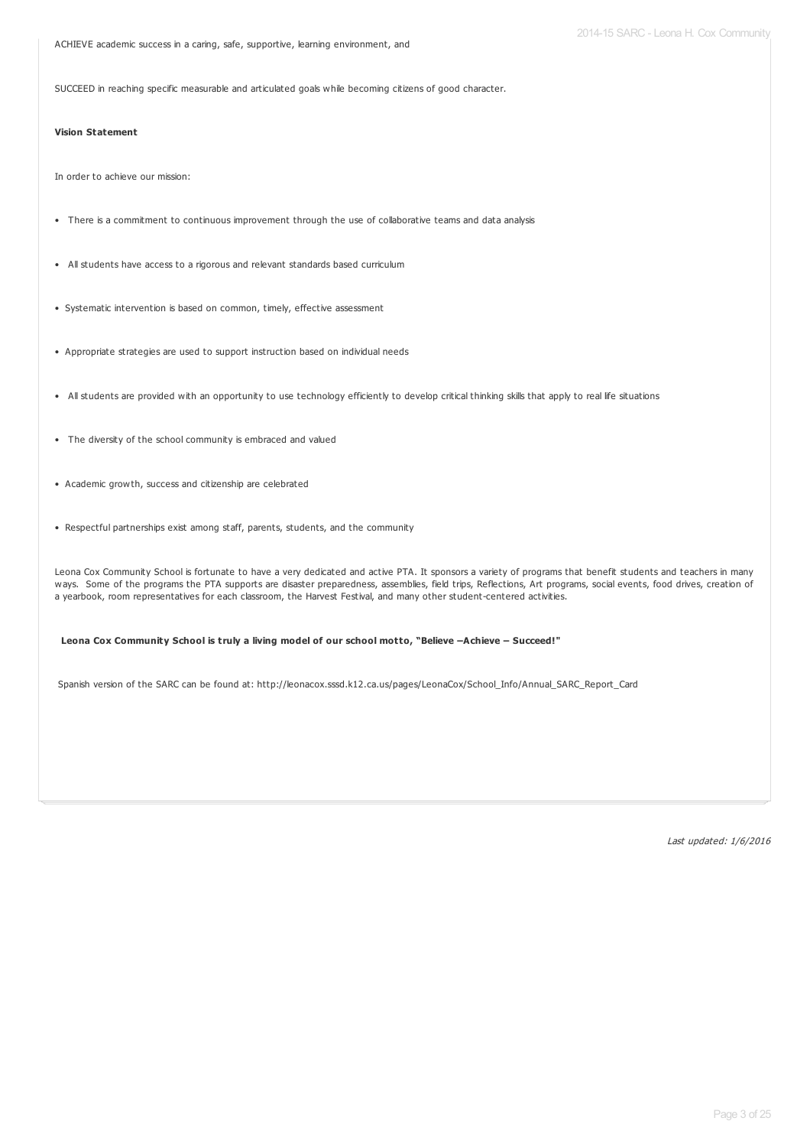ACHIEVE academic success in a caring, safe, supportive, learning environment, and

SUCCEED in reaching specific measurable and articulated goals while becoming citizens of good character.

#### **Vision Statement**

In order to achieve our mission:

- There is a commitment to continuous improvement through the use of collaborative teams and data analysis
- All students have access to a rigorous and relevant standards based curriculum
- Systematic intervention is based on common, timely, effective assessment
- Appropriate strategies are used to support instruction based on individual needs
- All students are provided with an opportunity to use technology efficiently to develop critical thinking skills that apply to real life situations
- The diversity of the school community is embraced and valued
- Academic growth, success and citizenship are celebrated
- Respectful partnerships exist among staff, parents, students, and the community

Leona Cox Community School is fortunate to have a very dedicated and active PTA. It sponsors a variety of programs that benefit students and teachers in many ways. Some of the programs the PTA supports are disaster preparedness, assemblies, field trips, Reflections, Art programs, social events, food drives, creation of a yearbook, room representatives for each classroom, the Harvest Festival, and many other student-centered activities.

#### **Leona Cox Community School is truly a living model of our school motto, "Believe –Achieve – Succeed!"**

Spanish version of the SARC can be found at: http://leonacox.sssd.k12.ca.us/pages/LeonaCox/School\_Info/Annual\_SARC\_Report\_Card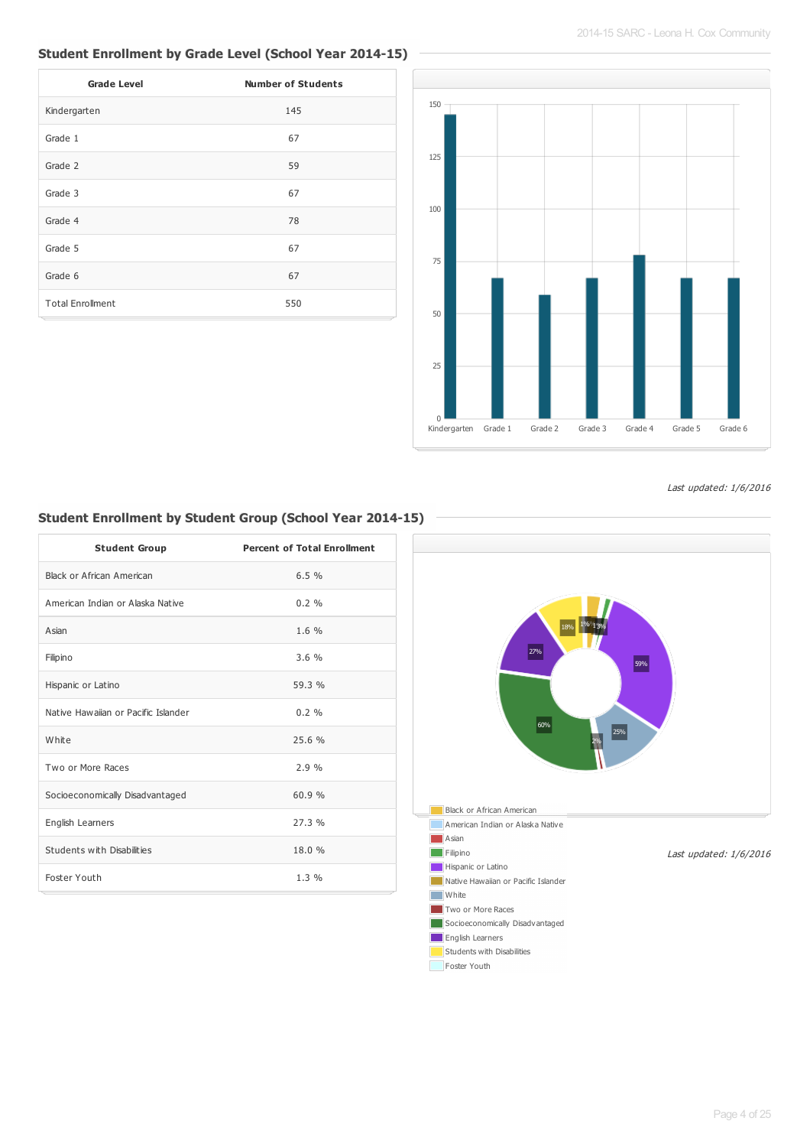# **Student Enrollment by Grade Level (School Year 2014-15)**

| <b>Grade Level</b>      | <b>Number of Students</b> |
|-------------------------|---------------------------|
| Kindergarten            | 145                       |
| Grade 1                 | 67                        |
| Grade 2                 | 59                        |
| Grade 3                 | 67                        |
| Grade 4                 | 78                        |
| Grade 5                 | 67                        |
| Grade 6                 | 67                        |
| <b>Total Enrollment</b> | 550                       |



Last updated: 1/6/2016

# **Student Enrollment by Student Group (School Year 2014-15)**

| <b>Student Group</b>                | <b>Percent of Total Enrollment</b> |  |
|-------------------------------------|------------------------------------|--|
| Black or African American           | 6.5%                               |  |
| American Indian or Alaska Native    | 0.2%                               |  |
| Asian                               | 1.6 %                              |  |
| Filipino                            | 3.6%                               |  |
| Hispanic or Latino                  | 59.3 %                             |  |
| Native Hawaiian or Pacific Islander | $0.2 \%$                           |  |
| White                               | 25.6%                              |  |
| Two or More Races                   | 2.9%                               |  |
| Socioeconomically Disadvantaged     | 60.9%                              |  |
| English Learners                    | 27.3%                              |  |
| Students with Disabilities          | 18.0 %                             |  |
| Foster Youth                        | 1.3 %                              |  |
|                                     |                                    |  |

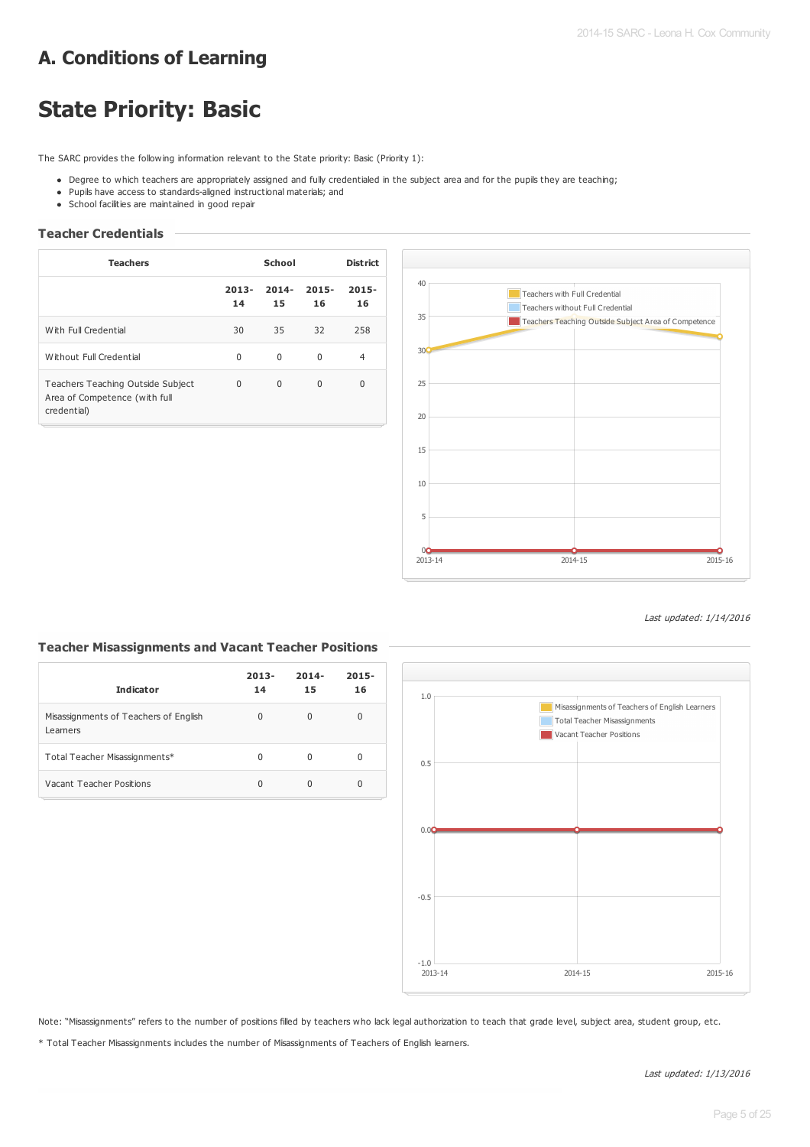# **A. Conditions of Learning**

# **State Priority: Basic**

The SARC provides the following information relevant to the State priority: Basic (Priority 1):

- Degree to which teachers are appropriately assigned and fully credentialed in the subject area and for the pupils they are teaching;
- Pupils have access to standards-aligned instructional materials; and
- School facilities are maintained in good repair

#### **Teacher Credentials**

| <b>Teachers</b>                                                                   |                | School         |                | <b>District</b> |
|-----------------------------------------------------------------------------------|----------------|----------------|----------------|-----------------|
|                                                                                   | $2013 -$<br>14 | $2014 -$<br>15 | $2015 -$<br>16 | $2015 -$<br>16  |
| With Full Credential                                                              | 30             | 35             | 32             | 258             |
| Without Full Credential                                                           | $\Omega$       | $\Omega$       | $\Omega$       | 4               |
| Teachers Teaching Outside Subject<br>Area of Competence (with full<br>credential) | $\Omega$       | $\Omega$       | $\Omega$       | 0               |



Last updated: 1/14/2016

#### **Teacher Misassignments and Vacant Teacher Positions**

| <b>Indicator</b>                                  | $2013 -$<br>14 | $2014 -$<br>15 | $2015 -$<br>16 |
|---------------------------------------------------|----------------|----------------|----------------|
| Misassignments of Teachers of English<br>Learners | 0              | <sup>0</sup>   | 0              |
| Total Teacher Misassignments*                     | U              | O              | 0              |
| Vacant Teacher Positions                          | 0              |                | 0              |



Note: "Misassignments" refers to the number of positions filled by teachers who lack legal authorization to teach that grade level, subject area, student group, etc.

\* Total Teacher Misassignments includes the number of Misassignments of Teachers of English learners.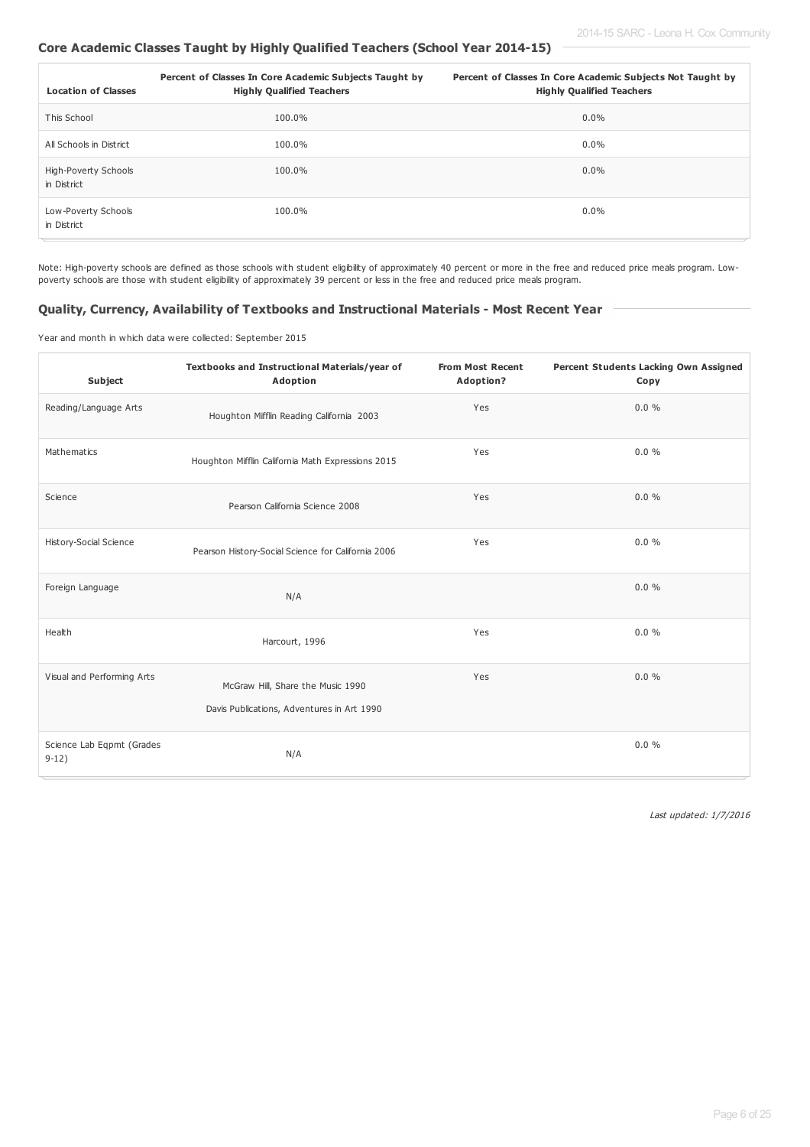### **Core Academic Classes Taught by Highly Qualified Teachers (School Year 2014-15)**

| <b>Location of Classes</b>          | Percent of Classes In Core Academic Subjects Taught by<br><b>Highly Qualified Teachers</b> | Percent of Classes In Core Academic Subjects Not Taught by<br><b>Highly Qualified Teachers</b> |
|-------------------------------------|--------------------------------------------------------------------------------------------|------------------------------------------------------------------------------------------------|
| This School                         | 100.0%                                                                                     | $0.0\%$                                                                                        |
| All Schools in District             | 100.0%                                                                                     | $0.0\%$                                                                                        |
| High-Poverty Schools<br>in District | 100.0%                                                                                     | $0.0\%$                                                                                        |
| Low-Poverty Schools<br>in District  | 100.0%                                                                                     | $0.0\%$                                                                                        |

Note: High-poverty schools are defined as those schools with student eligibility of approximately 40 percent or more in the free and reduced price meals program. Lowpoverty schools are those with student eligibility of approximately 39 percent or less in the free and reduced price meals program.

#### **Quality, Currency, Availability of Textbooks and Instructional Materials - Most Recent Year**

Year and month in which data were collected: September 2015

| <b>Subject</b>                       | Textbooks and Instructional Materials/year of<br>Adoption                       | <b>From Most Recent</b><br>Adoption? | Percent Students Lacking Own Assigned<br>Copy |
|--------------------------------------|---------------------------------------------------------------------------------|--------------------------------------|-----------------------------------------------|
| Reading/Language Arts                | Houghton Mifflin Reading California 2003                                        | Yes                                  | $0.0 \%$                                      |
| Mathematics                          | Houghton Mifflin California Math Expressions 2015                               | Yes                                  | $0.0 \%$                                      |
| Science                              | Pearson California Science 2008                                                 | Yes                                  | $0.0 \%$                                      |
| History-Social Science               | Pearson History-Social Science for California 2006                              | Yes                                  | 0.0%                                          |
| Foreign Language                     | N/A                                                                             |                                      | $0.0 \%$                                      |
| Health                               | Harcourt, 1996                                                                  | Yes                                  | $0.0 \%$                                      |
| Visual and Performing Arts           | McGraw Hill, Share the Music 1990<br>Davis Publications, Adventures in Art 1990 | Yes                                  | 0.0%                                          |
| Science Lab Eqpmt (Grades<br>$9-12)$ | N/A                                                                             |                                      | $0.0 \%$                                      |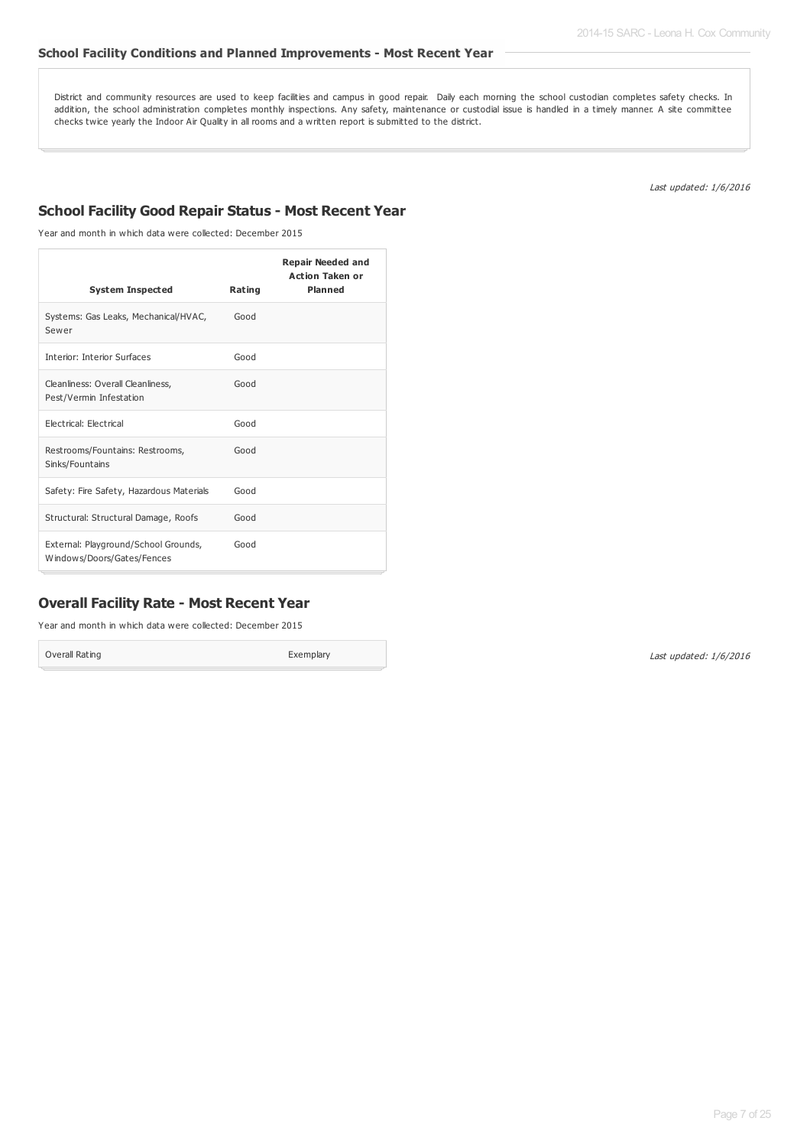## **School Facility Conditions and Planned Improvements - Most Recent Year**

District and community resources are used to keep facilities and campus in good repair. Daily each morning the school custodian completes safety checks. In addition, the school administration completes monthly inspections. Any safety, maintenance or custodial issue is handled in a timely manner. A site committee checks twice yearly the Indoor Air Quality in all rooms and a written report is submitted to the district.

Last updated: 1/6/2016

# **School Facility Good Repair Status - Most Recent Year**

Year and month in which data were collected: December 2015

| <b>System Inspected</b>                                            | Rating | <b>Repair Needed and</b><br><b>Action Taken or</b><br><b>Planned</b> |
|--------------------------------------------------------------------|--------|----------------------------------------------------------------------|
| Systems: Gas Leaks, Mechanical/HVAC,<br>Sewer                      | Good   |                                                                      |
| <b>Interior: Interior Surfaces</b>                                 | Good   |                                                                      |
| Cleanliness: Overall Cleanliness,<br>Pest/Vermin Infestation       | Good   |                                                                      |
| Electrical: Electrical                                             | Good   |                                                                      |
| Restrooms/Fountains: Restrooms,<br>Sinks/Fountains                 | Good   |                                                                      |
| Safety: Fire Safety, Hazardous Materials                           | Good   |                                                                      |
| Structural: Structural Damage, Roofs                               | Good   |                                                                      |
| External: Playground/School Grounds,<br>Windows/Doors/Gates/Fences | Good   |                                                                      |

## **Overall Facility Rate - Most Recent Year**

Year and month in which data were collected: December 2015

Overall Rating **Exemplary**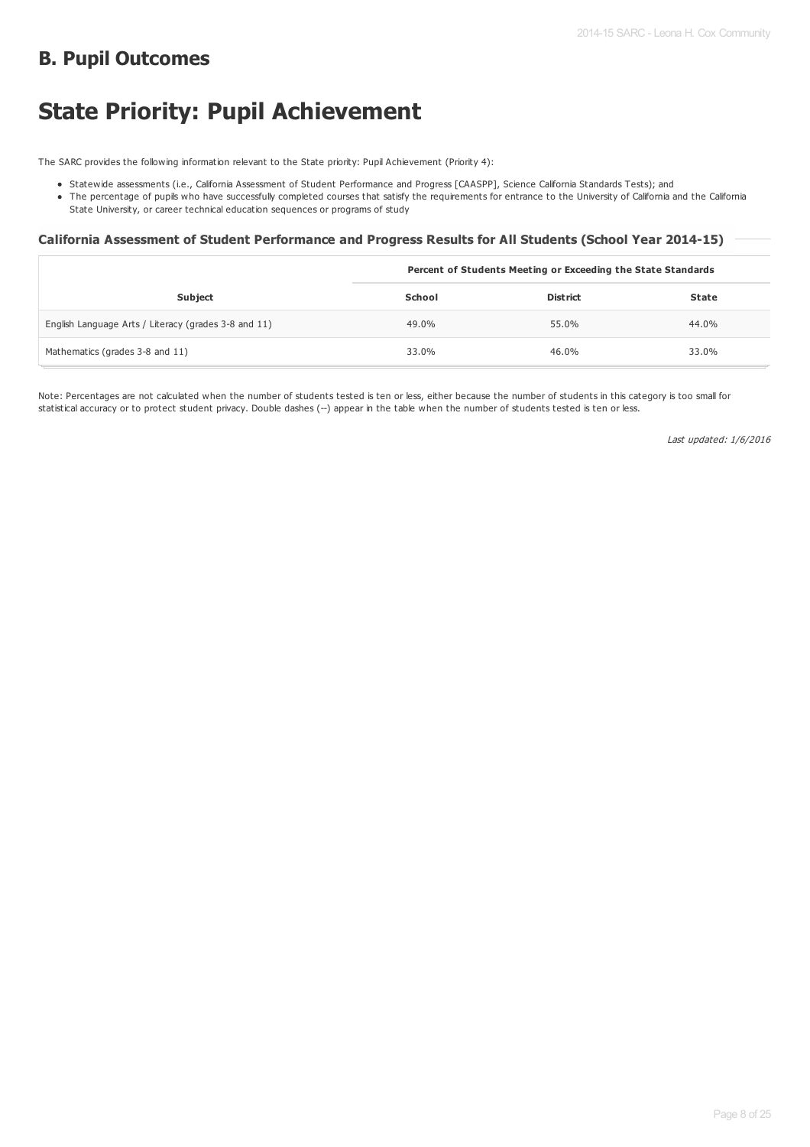# **B. Pupil Outcomes**

# **State Priority: Pupil Achievement**

The SARC provides the following information relevant to the State priority: Pupil Achievement (Priority 4):

- Statewide assessments (i.e., California Assessment of Student Performance and Progress [CAASPP], Science California Standards Tests); and
- The percentage of pupils who have successfully completed courses that satisfy the requirements for entrance to the University of California and the California State University, or career technical education sequences or programs of study

#### **California Assessment of Student Performance and Progress Results for All Students (School Year 2014-15)**

|                                                      | Percent of Students Meeting or Exceeding the State Standards |                 |       |
|------------------------------------------------------|--------------------------------------------------------------|-----------------|-------|
| <b>Subject</b>                                       | School                                                       | <b>District</b> | State |
| English Language Arts / Literacy (grades 3-8 and 11) | 49.0%                                                        | 55.0%           | 44.0% |
| Mathematics (grades 3-8 and 11)                      | 33.0%                                                        | 46.0%           | 33.0% |

Note: Percentages are not calculated when the number of students tested is ten or less, either because the number of students in this category is too small for statistical accuracy or to protect student privacy. Double dashes (--) appear in the table when the number of students tested is ten or less.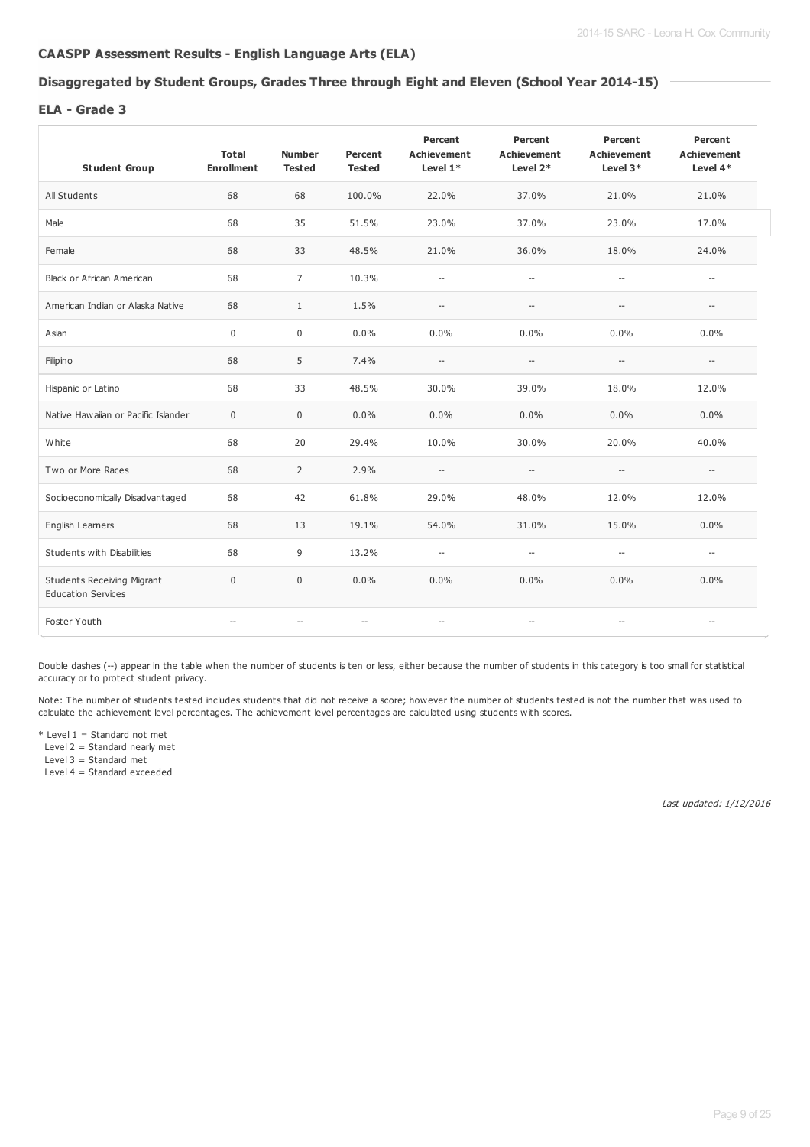### **CAASPP Assessment Results - English Language Arts (ELA)**

# **Disaggregated by Student Groups, Grades Three through Eight and Eleven (School Year 2014-15)**

#### **ELA - Grade 3**

| <b>Student Group</b>                                           | Total<br><b>Enrollment</b> | <b>Number</b><br><b>Tested</b>                      | Percent<br><b>Tested</b> | Percent<br><b>Achievement</b><br>Level $1*$ | Percent<br><b>Achievement</b><br>Level 2*           | Percent<br><b>Achievement</b><br>Level 3*           | Percent<br><b>Achievement</b><br>Level 4* |
|----------------------------------------------------------------|----------------------------|-----------------------------------------------------|--------------------------|---------------------------------------------|-----------------------------------------------------|-----------------------------------------------------|-------------------------------------------|
| All Students                                                   | 68                         | 68                                                  | 100.0%                   | 22.0%                                       | 37.0%                                               | 21.0%                                               | 21.0%                                     |
| Male                                                           | 68                         | 35                                                  | 51.5%                    | 23.0%                                       | 37.0%                                               | 23.0%                                               | 17.0%                                     |
| Female                                                         | 68                         | 33                                                  | 48.5%                    | 21.0%                                       | 36.0%                                               | 18.0%                                               | 24.0%                                     |
| Black or African American                                      | 68                         | $\overline{7}$                                      | 10.3%                    | $\overline{\phantom{a}}$                    | $\overline{\phantom{a}}$                            | $\hspace{0.05cm} -$                                 | $\overline{\phantom{a}}$                  |
| American Indian or Alaska Native                               | 68                         | $\mathbf{1}$                                        | 1.5%                     | $\hspace{0.05cm} -\hspace{0.05cm}$          | $-\!$                                               | $\overline{\phantom{a}}$                            | $\overline{\phantom{a}}$                  |
| Asian                                                          | $\mathbf 0$                | $\mathbf 0$                                         | 0.0%                     | 0.0%                                        | 0.0%                                                | 0.0%                                                | 0.0%                                      |
| Filipino                                                       | 68                         | 5                                                   | 7.4%                     | $\overline{\phantom{a}}$                    | $\hspace{0.05cm} -\hspace{0.05cm} -\hspace{0.05cm}$ | $\hspace{0.05cm} -\hspace{0.05cm} -\hspace{0.05cm}$ | $\hspace{0.05cm} -\hspace{0.05cm}$        |
| Hispanic or Latino                                             | 68                         | 33                                                  | 48.5%                    | 30.0%                                       | 39.0%                                               | 18.0%                                               | 12.0%                                     |
| Native Hawaiian or Pacific Islander                            | $\mathbf 0$                | $\mathbf 0$                                         | 0.0%                     | $0.0\%$                                     | 0.0%                                                | $0.0\%$                                             | 0.0%                                      |
| White                                                          | 68                         | 20                                                  | 29.4%                    | 10.0%                                       | 30.0%                                               | 20.0%                                               | 40.0%                                     |
| Two or More Races                                              | 68                         | $\overline{2}$                                      | 2.9%                     | $\overline{\phantom{a}}$                    | $\overline{\phantom{a}}$                            | $\overline{\phantom{a}}$                            | $\overline{a}$                            |
| Socioeconomically Disadvantaged                                | 68                         | 42                                                  | 61.8%                    | 29.0%                                       | 48.0%                                               | 12.0%                                               | 12.0%                                     |
| English Learners                                               | 68                         | 13                                                  | 19.1%                    | 54.0%                                       | 31.0%                                               | 15.0%                                               | 0.0%                                      |
| Students with Disabilities                                     | 68                         | 9                                                   | 13.2%                    | $\hspace{0.05cm} -\hspace{0.05cm}$          | $\overline{\phantom{a}}$                            | $\hspace{0.05cm} \ldots$                            | $\overline{\phantom{a}}$                  |
| <b>Students Receiving Migrant</b><br><b>Education Services</b> | $\mathbf 0$                | $\mathbf 0$                                         | 0.0%                     | 0.0%                                        | $0.0\%$                                             | 0.0%                                                | $0.0\%$                                   |
| Foster Youth                                                   | $\overline{a}$             | $\hspace{0.05cm} -\hspace{0.05cm} -\hspace{0.05cm}$ | $\overline{\phantom{a}}$ | $\hspace{0.05cm} \ldots$                    | $\hspace{0.05cm} -\hspace{0.05cm} -\hspace{0.05cm}$ | $\overline{a}$                                      | $\hspace{0.05cm} \ldots$                  |

Double dashes (--) appear in the table when the number of students is ten or less, either because the number of students in this category is too small for statistical accuracy or to protect student privacy.

Note: The number of students tested includes students that did not receive a score; however the number of students tested is not the number that was used to calculate the achievement level percentages. The achievement level percentages are calculated using students with scores.

 $*$  Level 1 = Standard not met

Level 2 = Standard nearly met

Level 3 = Standard met Level 4 = Standard exceeded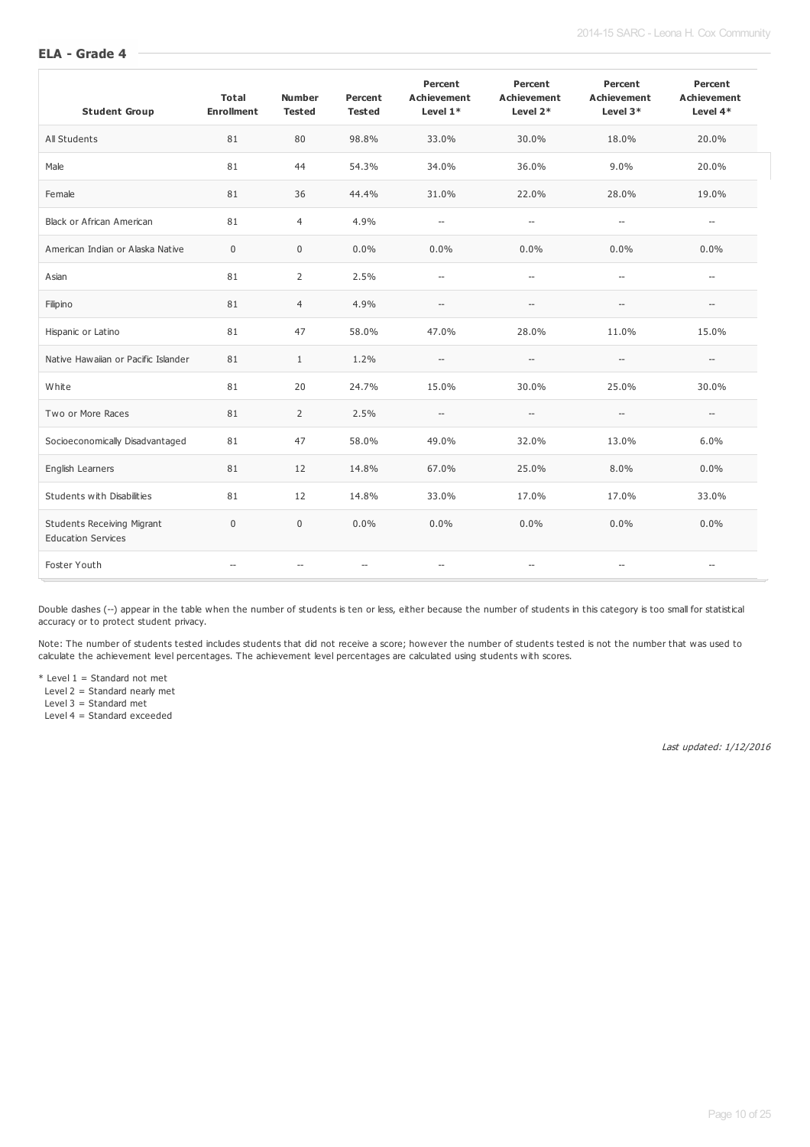#### **ELA - Grade 4**

| <b>Student Group</b>                                           | <b>Total</b><br><b>Enrollment</b> | <b>Number</b><br><b>Tested</b> | Percent<br><b>Tested</b> | Percent<br><b>Achievement</b><br>Level $1*$ | Percent<br><b>Achievement</b><br>Level $2*$         | Percent<br><b>Achievement</b><br>Level $3*$         | Percent<br><b>Achievement</b><br>Level $4*$ |
|----------------------------------------------------------------|-----------------------------------|--------------------------------|--------------------------|---------------------------------------------|-----------------------------------------------------|-----------------------------------------------------|---------------------------------------------|
| All Students                                                   | 81                                | 80                             | 98.8%                    | 33.0%                                       | 30.0%                                               | 18.0%                                               | 20.0%                                       |
| Male                                                           | 81                                | 44                             | 54.3%                    | 34.0%                                       | 36.0%                                               | 9.0%                                                | 20.0%                                       |
| Female                                                         | 81                                | 36                             | 44.4%                    | 31.0%                                       | 22.0%                                               | 28.0%                                               | 19.0%                                       |
| Black or African American                                      | 81                                | $\overline{4}$                 | 4.9%                     | $\overline{\phantom{a}}$                    | $\overline{\phantom{a}}$                            | $-\!$                                               | $\overline{\phantom{a}}$                    |
| American Indian or Alaska Native                               | 0                                 | $\mathbf 0$                    | 0.0%                     | 0.0%                                        | 0.0%                                                | 0.0%                                                | 0.0%                                        |
| Asian                                                          | 81                                | $\overline{2}$                 | 2.5%                     | $\overline{\phantom{a}}$                    | $\overline{\phantom{a}}$                            | $\hspace{0.05cm} \ldots$                            | $\overline{\phantom{a}}$                    |
| Filipino                                                       | 81                                | $\overline{4}$                 | 4.9%                     | $\cdots$                                    | $\hspace{0.05cm} -\hspace{0.05cm} -\hspace{0.05cm}$ | $-\!$                                               | $\hspace{0.05cm} -\hspace{0.05cm}$          |
| Hispanic or Latino                                             | 81                                | 47                             | 58.0%                    | 47.0%                                       | 28.0%                                               | 11.0%                                               | 15.0%                                       |
| Native Hawaiian or Pacific Islander                            | 81                                | $\mathbf{1}$                   | 1.2%                     | $\hspace{0.05cm} -\hspace{0.05cm}$          | $\hspace{0.05cm} -\hspace{0.05cm} -\hspace{0.05cm}$ | $\overline{\phantom{a}}$                            | $\hspace{0.05cm} -\hspace{0.05cm}$          |
| White                                                          | 81                                | 20                             | 24.7%                    | 15.0%                                       | 30.0%                                               | 25.0%                                               | 30.0%                                       |
| Two or More Races                                              | 81                                | 2                              | 2.5%                     | $\hspace{0.05cm} \ldots$                    | $\hspace{0.05cm} -\hspace{0.05cm}$                  | $\hspace{0.05cm} -\hspace{0.05cm} -\hspace{0.05cm}$ | $\hspace{0.05cm} -\hspace{0.05cm}$          |
| Socioeconomically Disadvantaged                                | 81                                | 47                             | 58.0%                    | 49.0%                                       | 32.0%                                               | 13.0%                                               | 6.0%                                        |
| English Learners                                               | 81                                | 12                             | 14.8%                    | 67.0%                                       | 25.0%                                               | 8.0%                                                | 0.0%                                        |
| Students with Disabilities                                     | 81                                | 12                             | 14.8%                    | 33.0%                                       | 17.0%                                               | 17.0%                                               | 33.0%                                       |
| <b>Students Receiving Migrant</b><br><b>Education Services</b> | $\mathbf 0$                       | $\mathbf 0$                    | 0.0%                     | 0.0%                                        | 0.0%                                                | 0.0%                                                | 0.0%                                        |
| Foster Youth                                                   | $\overline{\phantom{a}}$          | $\hspace{0.05cm} \ldots$       | $\overline{\phantom{a}}$ | $\overline{\phantom{a}}$                    | $\overline{\phantom{a}}$                            | $\overline{\phantom{a}}$                            | $\overline{\phantom{a}}$                    |

Double dashes (--) appear in the table when the number of students is ten or less, either because the number of students in this category is too small for statistical accuracy or to protect student privacy.

Note: The number of students tested includes students that did not receive a score; however the number of students tested is not the number that was used to calculate the achievement level percentages. The achievement level percentages are calculated using students with scores.

 $*$  Level 1 = Standard not met

Level 2 = Standard nearly met

Level 3 = Standard met

Level 4 = Standard exceeded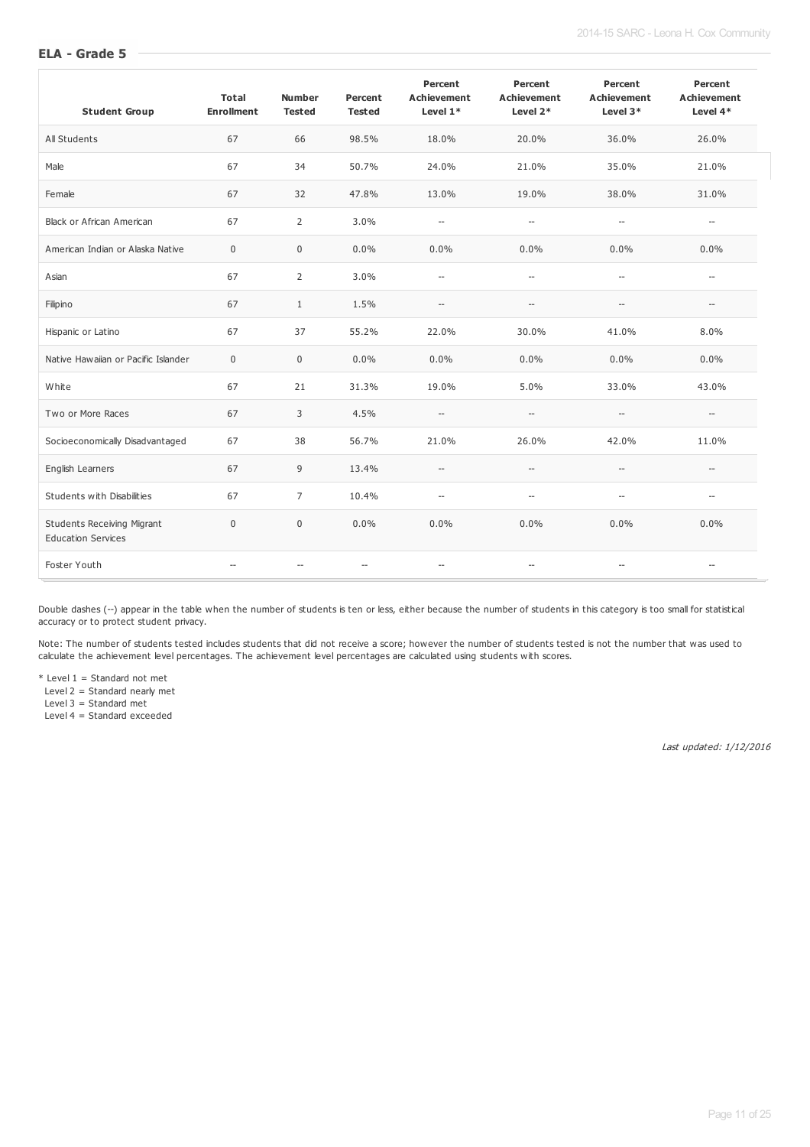#### **ELA - Grade 5**

| <b>Student Group</b>                                           | <b>Total</b><br><b>Enrollment</b> | <b>Number</b><br><b>Tested</b>                      | Percent<br><b>Tested</b> | Percent<br><b>Achievement</b><br>Level $1*$ | Percent<br><b>Achievement</b><br>Level $2*$         | Percent<br><b>Achievement</b><br>Level $3*$         | Percent<br>Achievement<br>Level $4*$ |
|----------------------------------------------------------------|-----------------------------------|-----------------------------------------------------|--------------------------|---------------------------------------------|-----------------------------------------------------|-----------------------------------------------------|--------------------------------------|
| All Students                                                   | 67                                | 66                                                  | 98.5%                    | 18.0%                                       | 20.0%                                               | 36.0%                                               | 26.0%                                |
| Male                                                           | 67                                | 34                                                  | 50.7%                    | 24.0%                                       | 21.0%                                               | 35.0%                                               | 21.0%                                |
| Female                                                         | 67                                | 32                                                  | 47.8%                    | 13.0%                                       | 19.0%                                               | 38.0%                                               | 31.0%                                |
| Black or African American                                      | 67                                | 2                                                   | 3.0%                     | $\overline{\phantom{a}}$                    | $\hspace{0.05cm} -\hspace{0.05cm}$                  | $\hspace{0.05cm} \ldots$                            | $\overline{\phantom{a}}$             |
| American Indian or Alaska Native                               | $\mathbf 0$                       | $\mathbf 0$                                         | 0.0%                     | 0.0%                                        | 0.0%                                                | 0.0%                                                | 0.0%                                 |
| Asian                                                          | 67                                | 2                                                   | 3.0%                     | $\hspace{0.05cm} -\hspace{0.05cm}$          | $\hspace{0.05cm} -\hspace{0.05cm} -\hspace{0.05cm}$ | $-\!$                                               | $\hspace{0.05cm} \ldots$             |
| Filipino                                                       | 67                                | $\mathbf{1}$                                        | 1.5%                     | --                                          | $-\!$                                               | $\hspace{0.05cm} -\hspace{0.05cm} -\hspace{0.05cm}$ | $\overline{\phantom{a}}$             |
| Hispanic or Latino                                             | 67                                | 37                                                  | 55.2%                    | 22.0%                                       | 30.0%                                               | 41.0%                                               | 8.0%                                 |
| Native Hawaiian or Pacific Islander                            | $\mathbf 0$                       | $\mathbf 0$                                         | 0.0%                     | 0.0%                                        | 0.0%                                                | 0.0%                                                | 0.0%                                 |
| White                                                          | 67                                | 21                                                  | 31.3%                    | 19.0%                                       | 5.0%                                                | 33.0%                                               | 43.0%                                |
| Two or More Races                                              | 67                                | 3                                                   | 4.5%                     | --                                          | $\hspace{0.05cm} -\hspace{0.05cm} -\hspace{0.05cm}$ | $-\!$                                               | $\hspace{0.05cm} -\hspace{0.05cm}$   |
| Socioeconomically Disadvantaged                                | 67                                | 38                                                  | 56.7%                    | 21.0%                                       | 26.0%                                               | 42.0%                                               | 11.0%                                |
| English Learners                                               | 67                                | 9                                                   | 13.4%                    | $\cdots$                                    | $\hspace{0.05cm} -\hspace{0.05cm} -\hspace{0.05cm}$ | $-\!$                                               | $\overline{\phantom{a}}$             |
| Students with Disabilities                                     | 67                                | $\overline{7}$                                      | 10.4%                    | $\overline{\phantom{a}}$                    | $\overline{\phantom{a}}$                            | $\overline{\phantom{a}}$                            | $\overline{\phantom{a}}$             |
| <b>Students Receiving Migrant</b><br><b>Education Services</b> | $\Omega$                          | $\mathbf 0$                                         | 0.0%                     | 0.0%                                        | 0.0%                                                | 0.0%                                                | 0.0%                                 |
| Foster Youth                                                   |                                   | $\hspace{0.05cm} -\hspace{0.05cm} -\hspace{0.05cm}$ | $\overline{\phantom{a}}$ | --                                          | $\overline{\phantom{a}}$                            | --                                                  | $\overline{\phantom{a}}$             |

Double dashes (--) appear in the table when the number of students is ten or less, either because the number of students in this category is too small for statistical accuracy or to protect student privacy.

Note: The number of students tested includes students that did not receive a score; however the number of students tested is not the number that was used to calculate the achievement level percentages. The achievement level percentages are calculated using students with scores.

 $*$  Level 1 = Standard not met

Level 2 = Standard nearly met

Level 3 = Standard met

Level 4 = Standard exceeded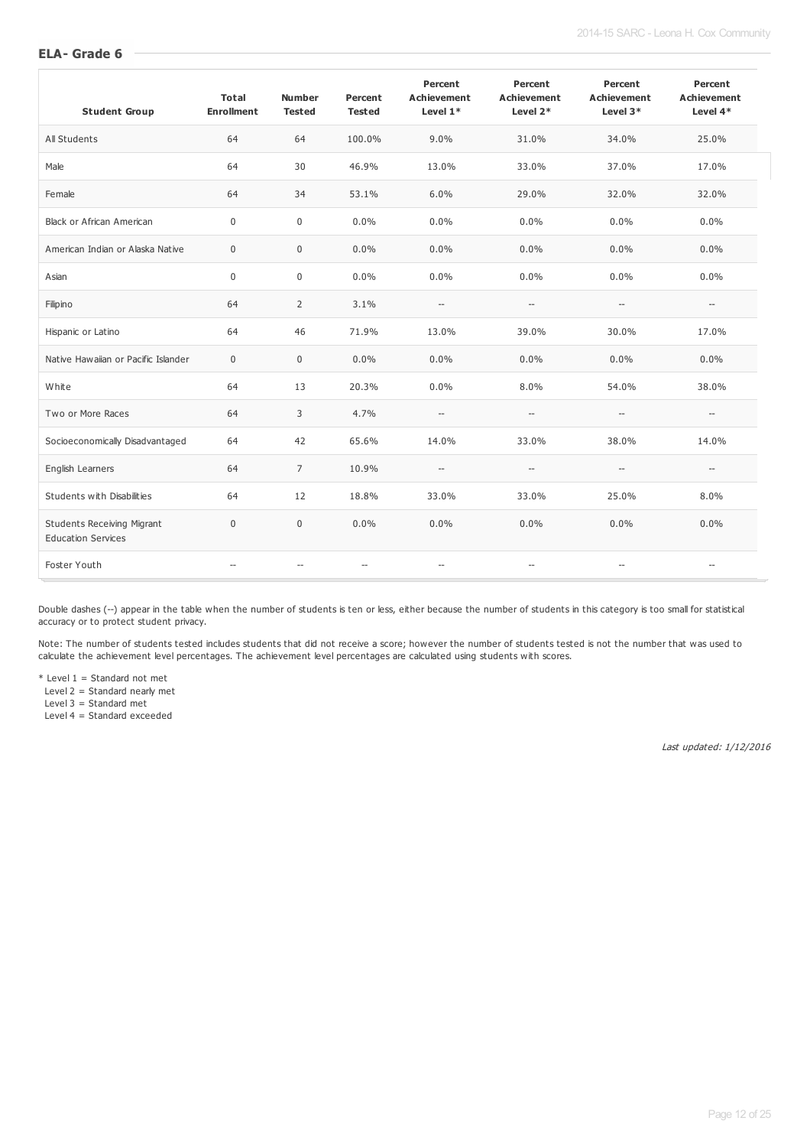#### 2014-15 SARC - Leona H. Cox Community

#### **ELA- Grade 6**

| <b>Student Group</b>                                           | Total<br><b>Enrollment</b> | <b>Number</b><br><b>Tested</b> | Percent<br><b>Tested</b> | Percent<br><b>Achievement</b><br>Level $1*$ | Percent<br><b>Achievement</b><br>Level $2*$         | Percent<br><b>Achievement</b><br>Level $3*$         | Percent<br><b>Achievement</b><br>Level $4*$ |
|----------------------------------------------------------------|----------------------------|--------------------------------|--------------------------|---------------------------------------------|-----------------------------------------------------|-----------------------------------------------------|---------------------------------------------|
| All Students                                                   | 64                         | 64                             | 100.0%                   | 9.0%                                        | 31.0%                                               | 34.0%                                               | 25.0%                                       |
| Male                                                           | 64                         | 30                             | 46.9%                    | 13.0%                                       | 33.0%                                               | 37.0%                                               | 17.0%                                       |
| Female                                                         | 64                         | 34                             | 53.1%                    | 6.0%                                        | 29.0%                                               | 32.0%                                               | 32.0%                                       |
| Black or African American                                      | $\mathbf 0$                | $\mathbf 0$                    | $0.0\%$                  | 0.0%                                        | 0.0%                                                | 0.0%                                                | 0.0%                                        |
| American Indian or Alaska Native                               | $\mathbf 0$                | $\mathbf 0$                    | $0.0\%$                  | 0.0%                                        | 0.0%                                                | 0.0%                                                | 0.0%                                        |
| Asian                                                          | $\boldsymbol{0}$           | $\mathbf 0$                    | 0.0%                     | 0.0%                                        | 0.0%                                                | 0.0%                                                | 0.0%                                        |
| Filipino                                                       | 64                         | 2                              | 3.1%                     | $\hspace{0.05cm} \ldots$                    | $\hspace{0.05cm} -\hspace{0.05cm} -\hspace{0.05cm}$ | $\hspace{0.05cm} -\hspace{0.05cm} -\hspace{0.05cm}$ | $\hspace{0.05cm} \ldots$                    |
| Hispanic or Latino                                             | 64                         | 46                             | 71.9%                    | 13.0%                                       | 39.0%                                               | 30.0%                                               | 17.0%                                       |
| Native Hawaiian or Pacific Islander                            | $\mathbf 0$                | $\mathbf 0$                    | $0.0\%$                  | 0.0%                                        | 0.0%                                                | 0.0%                                                | $0.0\%$                                     |
| White                                                          | 64                         | 13                             | 20.3%                    | 0.0%                                        | 8.0%                                                | 54.0%                                               | 38.0%                                       |
| Two or More Races                                              | 64                         | 3                              | 4.7%                     | $\hspace{0.05cm} -$                         | $\hspace{0.05cm} -\hspace{0.05cm}$                  | $\overline{\phantom{a}}$                            | $\hspace{0.05cm} -\hspace{0.05cm}$          |
| Socioeconomically Disadvantaged                                | 64                         | 42                             | 65.6%                    | 14.0%                                       | 33.0%                                               | 38.0%                                               | 14.0%                                       |
| English Learners                                               | 64                         | $\overline{7}$                 | 10.9%                    | --                                          | $\hspace{0.05cm} -\hspace{0.05cm}$                  | $\overline{\phantom{a}}$                            | $\hspace{0.05cm} -\hspace{0.05cm}$          |
| Students with Disabilities                                     | 64                         | 12                             | 18.8%                    | 33.0%                                       | 33.0%                                               | 25.0%                                               | 8.0%                                        |
| <b>Students Receiving Migrant</b><br><b>Education Services</b> | $\mathbf 0$                | $\mathbf 0$                    | $0.0\%$                  | 0.0%                                        | 0.0%                                                | 0.0%                                                | $0.0\%$                                     |
| Foster Youth                                                   |                            | $\sim$                         | $\overline{\phantom{a}}$ | $\hspace{0.05cm} \ldots$                    | $\overline{\phantom{a}}$                            | $\overline{\phantom{a}}$                            | $\overline{\phantom{a}}$                    |

Double dashes (--) appear in the table when the number of students is ten or less, either because the number of students in this category is too small for statistical accuracy or to protect student privacy.

Note: The number of students tested includes students that did not receive a score; however the number of students tested is not the number that was used to calculate the achievement level percentages. The achievement level percentages are calculated using students with scores.

 $*$  Level 1 = Standard not met

Level 2 = Standard nearly met

Level 3 = Standard met

Level 4 = Standard exceeded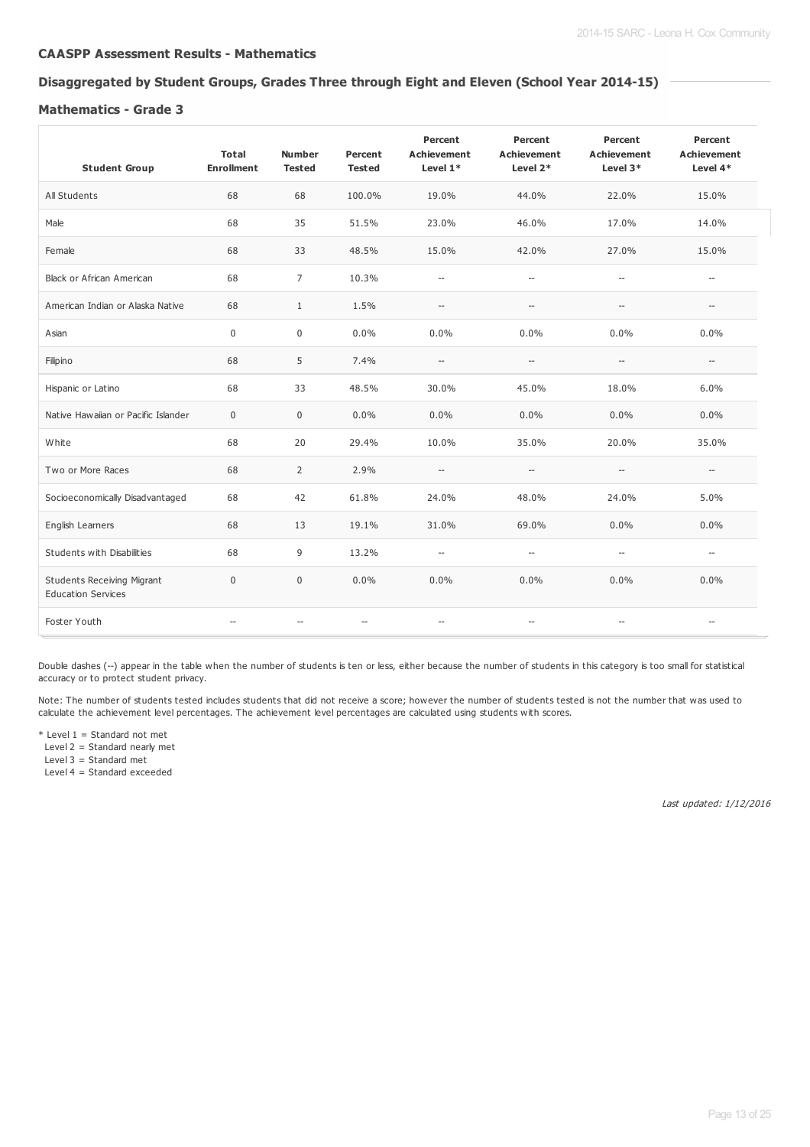#### **CAASPP Assessment Results - Mathematics**

# **Disaggregated by Student Groups, Grades Three through Eight and Eleven (School Year 2014-15)**

#### **Mathematics - Grade 3**

| <b>Student Group</b>                                           | Total<br><b>Enrollment</b> | <b>Number</b><br><b>Tested</b> | Percent<br><b>Tested</b> | Percent<br><b>Achievement</b><br>Level $1*$ | Percent<br><b>Achievement</b><br>Level 2*           | Percent<br><b>Achievement</b><br>Level 3*           | Percent<br><b>Achievement</b><br>Level 4* |
|----------------------------------------------------------------|----------------------------|--------------------------------|--------------------------|---------------------------------------------|-----------------------------------------------------|-----------------------------------------------------|-------------------------------------------|
| All Students                                                   | 68                         | 68                             | 100.0%                   | 19.0%                                       | 44.0%                                               | 22.0%                                               | 15.0%                                     |
| Male                                                           | 68                         | 35                             | 51.5%                    | 23.0%                                       | 46.0%                                               | 17.0%                                               | 14.0%                                     |
| Female                                                         | 68                         | 33                             | 48.5%                    | 15.0%                                       | 42.0%                                               | 27.0%                                               | 15.0%                                     |
| <b>Black or African American</b>                               | 68                         | $\overline{7}$                 | 10.3%                    | $\hspace{0.05cm} \ldots$                    | $\hspace{0.05cm} -\hspace{0.05cm} -\hspace{0.05cm}$ | $\hspace{0.05cm} -\hspace{0.05cm} -\hspace{0.05cm}$ | $\hspace{0.05cm} -$                       |
| American Indian or Alaska Native                               | 68                         | $\mathbf{1}$                   | 1.5%                     | $\hspace{0.05cm} -$                         | $-\!$                                               | $\hspace{0.05cm} -\hspace{0.05cm} -\hspace{0.05cm}$ | $\overline{\phantom{a}}$                  |
| Asian                                                          | $\mathbf 0$                | $\boldsymbol{0}$               | 0.0%                     | 0.0%                                        | 0.0%                                                | 0.0%                                                | $0.0\%$                                   |
| Filipino                                                       | 68                         | 5                              | 7.4%                     | $\hspace{0.05cm} -\hspace{0.05cm}$          | $\hspace{0.05cm} -\hspace{0.05cm} -\hspace{0.05cm}$ | $\hspace{0.05cm} -\hspace{0.05cm} -\hspace{0.05cm}$ | $\hspace{0.05cm} -$                       |
| Hispanic or Latino                                             | 68                         | 33                             | 48.5%                    | 30.0%                                       | 45.0%                                               | 18.0%                                               | 6.0%                                      |
| Native Hawaiian or Pacific Islander                            | $\mathbf{0}$               | $\mathbf 0$                    | 0.0%                     | 0.0%                                        | $0.0\%$                                             | 0.0%                                                | 0.0%                                      |
| White                                                          | 68                         | 20                             | 29.4%                    | 10.0%                                       | 35.0%                                               | 20.0%                                               | 35.0%                                     |
| Two or More Races                                              | 68                         | $\overline{2}$                 | 2.9%                     | $\overline{\phantom{a}}$                    | $\overline{\phantom{a}}$                            | $\hspace{0.05cm} -\hspace{0.05cm}$                  | $\overline{\phantom{a}}$                  |
| Socioeconomically Disadvantaged                                | 68                         | 42                             | 61.8%                    | 24.0%                                       | 48.0%                                               | 24.0%                                               | 5.0%                                      |
| English Learners                                               | 68                         | 13                             | 19.1%                    | 31.0%                                       | 69.0%                                               | 0.0%                                                | 0.0%                                      |
| Students with Disabilities                                     | 68                         | 9                              | 13.2%                    | $\overline{\phantom{a}}$                    | $\hspace{0.05cm} -\hspace{0.05cm}$                  | $\hspace{0.05cm} -\hspace{0.05cm}$                  | $\overline{\phantom{a}}$                  |
| <b>Students Receiving Migrant</b><br><b>Education Services</b> | $\mathbf 0$                | $\mathbf 0$                    | 0.0%                     | 0.0%                                        | 0.0%                                                | 0.0%                                                | 0.0%                                      |
| Foster Youth                                                   | $\overline{\phantom{a}}$   | $\hspace{0.05cm} -$            | $\hspace{0.05cm} \ldots$ | $\overline{\phantom{a}}$                    | $\hspace{0.05cm} \ldots$                            | $\hspace{0.05cm} \ldots$                            | $\overline{\phantom{a}}$                  |

Double dashes (--) appear in the table when the number of students is ten or less, either because the number of students in this category is too small for statistical accuracy or to protect student privacy.

Note: The number of students tested includes students that did not receive a score; however the number of students tested is not the number that was used to calculate the achievement level percentages. The achievement level percentages are calculated using students with scores.

 $*$  Level 1 = Standard not met

Level 2 = Standard nearly met

Level 3 = Standard met Level 4 = Standard exceeded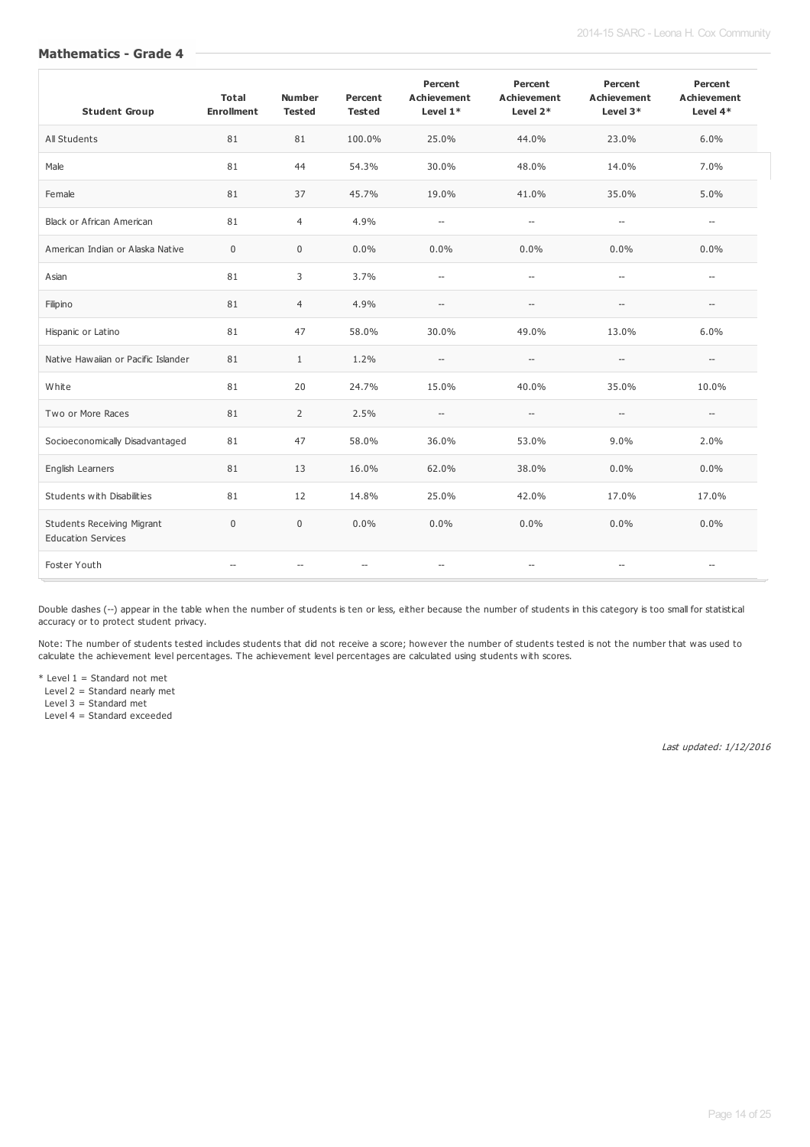#### **Mathematics - Grade 4**

| <b>Student Group</b>                                           | <b>Total</b><br><b>Enrollment</b> | <b>Number</b><br><b>Tested</b> | Percent<br><b>Tested</b> | Percent<br><b>Achievement</b><br>Level $1*$ | Percent<br><b>Achievement</b><br>Level 2*           | Percent<br><b>Achievement</b><br>Level 3*           | Percent<br><b>Achievement</b><br>Level 4* |
|----------------------------------------------------------------|-----------------------------------|--------------------------------|--------------------------|---------------------------------------------|-----------------------------------------------------|-----------------------------------------------------|-------------------------------------------|
| All Students                                                   | 81                                | 81                             | 100.0%                   | 25.0%                                       | 44.0%                                               | 23.0%                                               | 6.0%                                      |
| Male                                                           | 81                                | 44                             | 54.3%                    | 30.0%                                       | 48.0%                                               | 14.0%                                               | 7.0%                                      |
| Female                                                         | 81                                | 37                             | 45.7%                    | 19.0%                                       | 41.0%                                               | 35.0%                                               | 5.0%                                      |
| <b>Black or African American</b>                               | 81                                | $\overline{4}$                 | 4.9%                     | $\overline{\phantom{a}}$                    | $\overline{\phantom{a}}$                            | $\overline{\phantom{a}}$                            | $\hspace{0.05cm} -\hspace{0.05cm}$        |
| American Indian or Alaska Native                               | $\mathbf 0$                       | $\mathbf 0$                    | 0.0%                     | 0.0%                                        | 0.0%                                                | 0.0%                                                | $0.0\%$                                   |
| Asian                                                          | 81                                | 3                              | 3.7%                     | $\overline{\phantom{a}}$                    | $\overline{\phantom{a}}$                            | $\overline{\phantom{a}}$                            | $\overline{\phantom{a}}$                  |
| Filipino                                                       | 81                                | $\overline{4}$                 | 4.9%                     | $\hspace{0.05cm} \ldots$                    | $\hspace{0.05cm} -\hspace{0.05cm}$                  | --                                                  | $\hspace{0.05cm} -\hspace{0.05cm}$        |
| Hispanic or Latino                                             | 81                                | 47                             | 58.0%                    | 30.0%                                       | 49.0%                                               | 13.0%                                               | 6.0%                                      |
| Native Hawaiian or Pacific Islander                            | 81                                | $\mathbf{1}$                   | 1.2%                     | $\hspace{0.05cm} -$                         | $\hspace{0.05cm} -\hspace{0.05cm} -\hspace{0.05cm}$ | $\hspace{0.05cm} -\hspace{0.05cm} -\hspace{0.05cm}$ | $\hspace{0.05cm} \ldots$                  |
| White                                                          | 81                                | 20                             | 24.7%                    | 15.0%                                       | 40.0%                                               | 35.0%                                               | 10.0%                                     |
| Two or More Races                                              | 81                                | 2                              | 2.5%                     | --                                          | $\hspace{0.05cm} -\hspace{0.05cm}$                  | --                                                  | $\hspace{0.05cm} \ldots$                  |
| Socioeconomically Disadvantaged                                | 81                                | 47                             | 58.0%                    | 36.0%                                       | 53.0%                                               | 9.0%                                                | 2.0%                                      |
| English Learners                                               | 81                                | 13                             | 16.0%                    | 62.0%                                       | 38.0%                                               | 0.0%                                                | $0.0\%$                                   |
| Students with Disabilities                                     | 81                                | 12                             | 14.8%                    | 25.0%                                       | 42.0%                                               | 17.0%                                               | 17.0%                                     |
| <b>Students Receiving Migrant</b><br><b>Education Services</b> | $\mathbf 0$                       | $\mathbf 0$                    | 0.0%                     | 0.0%                                        | 0.0%                                                | 0.0%                                                | $0.0\%$                                   |
| Foster Youth                                                   | $-$                               | $\overline{\phantom{a}}$       | $\overline{\phantom{a}}$ | --                                          | $\hspace{0.05cm} -\hspace{0.05cm}$                  | --                                                  | $\overline{\phantom{a}}$                  |

Double dashes (--) appear in the table when the number of students is ten or less, either because the number of students in this category is too small for statistical accuracy or to protect student privacy.

Note: The number of students tested includes students that did not receive a score; however the number of students tested is not the number that was used to calculate the achievement level percentages. The achievement level percentages are calculated using students with scores.

 $*$  Level 1 = Standard not met

Level 2 = Standard nearly met

Level 3 = Standard met

Level 4 = Standard exceeded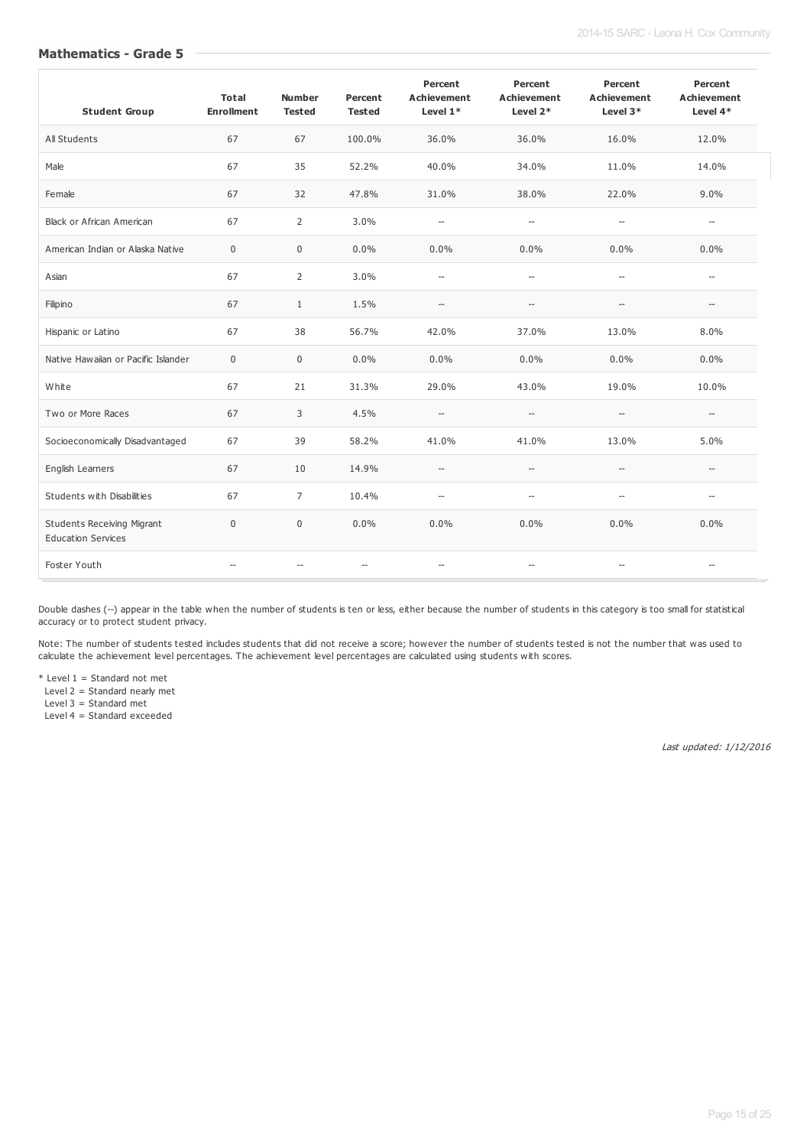#### **Mathematics - Grade 5**

| <b>Student Group</b>                                           | <b>Total</b><br><b>Enrollment</b> | <b>Number</b><br><b>Tested</b> | Percent<br><b>Tested</b> | Percent<br><b>Achievement</b><br>Level $1*$ | Percent<br><b>Achievement</b><br>Level 2*           | Percent<br><b>Achievement</b><br>Level 3* | Percent<br><b>Achievement</b><br>Level $4*$ |
|----------------------------------------------------------------|-----------------------------------|--------------------------------|--------------------------|---------------------------------------------|-----------------------------------------------------|-------------------------------------------|---------------------------------------------|
| All Students                                                   | 67                                | 67                             | 100.0%                   | 36.0%                                       | 36.0%                                               | 16.0%                                     | 12.0%                                       |
| Male                                                           | 67                                | 35                             | 52.2%                    | 40.0%                                       | 34.0%                                               | 11.0%                                     | 14.0%                                       |
| Female                                                         | 67                                | 32                             | 47.8%                    | 31.0%                                       | 38.0%                                               | 22.0%                                     | 9.0%                                        |
| <b>Black or African American</b>                               | 67                                | $\overline{2}$                 | 3.0%                     | $\overline{\phantom{a}}$                    | $\overline{\phantom{a}}$                            | $\overline{\phantom{a}}$                  | $\hspace{0.05cm} \ldots$                    |
| American Indian or Alaska Native                               | $\mathbf 0$                       | $\mathbf 0$                    | 0.0%                     | 0.0%                                        | 0.0%                                                | 0.0%                                      | $0.0\%$                                     |
| Asian                                                          | 67                                | 2                              | 3.0%                     | $\overline{\phantom{a}}$                    | $\overline{\phantom{a}}$                            | $\overline{\phantom{a}}$                  | $\overline{a}$                              |
| Filipino                                                       | 67                                | $\mathbf{1}$                   | 1.5%                     | $\hspace{0.05cm} \ldots$                    | $\hspace{0.05cm} -\hspace{0.05cm} -\hspace{0.05cm}$ | $\overline{\phantom{a}}$                  | $\hspace{0.05cm} -\hspace{0.05cm}$          |
| Hispanic or Latino                                             | 67                                | 38                             | 56.7%                    | 42.0%                                       | 37.0%                                               | 13.0%                                     | 8.0%                                        |
| Native Hawaijan or Pacific Islander                            | $\Omega$                          | $\mathbf 0$                    | 0.0%                     | 0.0%                                        | 0.0%                                                | 0.0%                                      | $0.0\%$                                     |
| White                                                          | 67                                | 21                             | 31.3%                    | 29.0%                                       | 43.0%                                               | 19.0%                                     | 10.0%                                       |
| Two or More Races                                              | 67                                | 3                              | 4.5%                     | --                                          | $\hspace{0.05cm} -\hspace{0.05cm}$                  | $\overline{\phantom{a}}$                  | $\hspace{0.05cm} \ldots$                    |
| Socioeconomically Disadvantaged                                | 67                                | 39                             | 58.2%                    | 41.0%                                       | 41.0%                                               | 13.0%                                     | 5.0%                                        |
| English Learners                                               | 67                                | 10                             | 14.9%                    | $\hspace{0.05cm} -\hspace{0.05cm}$          | $\hspace{0.05cm} -\hspace{0.05cm}$                  | $\overline{\phantom{a}}$                  | $\overline{a}$                              |
| Students with Disabilities                                     | 67                                | $\overline{7}$                 | 10.4%                    | $\overline{\phantom{a}}$                    | $\overline{\phantom{a}}$                            | --                                        | $\overline{a}$                              |
| <b>Students Receiving Migrant</b><br><b>Education Services</b> | $\mathbf 0$                       | $\boldsymbol{0}$               | 0.0%                     | 0.0%                                        | 0.0%                                                | 0.0%                                      | 0.0%                                        |
| Foster Youth                                                   | $\overline{\phantom{a}}$          | $\overline{\phantom{a}}$       | $\overline{\phantom{a}}$ | $\hspace{0.05cm} -\hspace{0.05cm}$          | $\hspace{0.05cm} -\hspace{0.05cm} -\hspace{0.05cm}$ | --                                        | $\overline{\phantom{a}}$                    |

Double dashes (--) appear in the table when the number of students is ten or less, either because the number of students in this category is too small for statistical accuracy or to protect student privacy.

Note: The number of students tested includes students that did not receive a score; however the number of students tested is not the number that was used to calculate the achievement level percentages. The achievement level percentages are calculated using students with scores.

 $*$  Level 1 = Standard not met

Level 2 = Standard nearly met

Level 3 = Standard met

Level 4 = Standard exceeded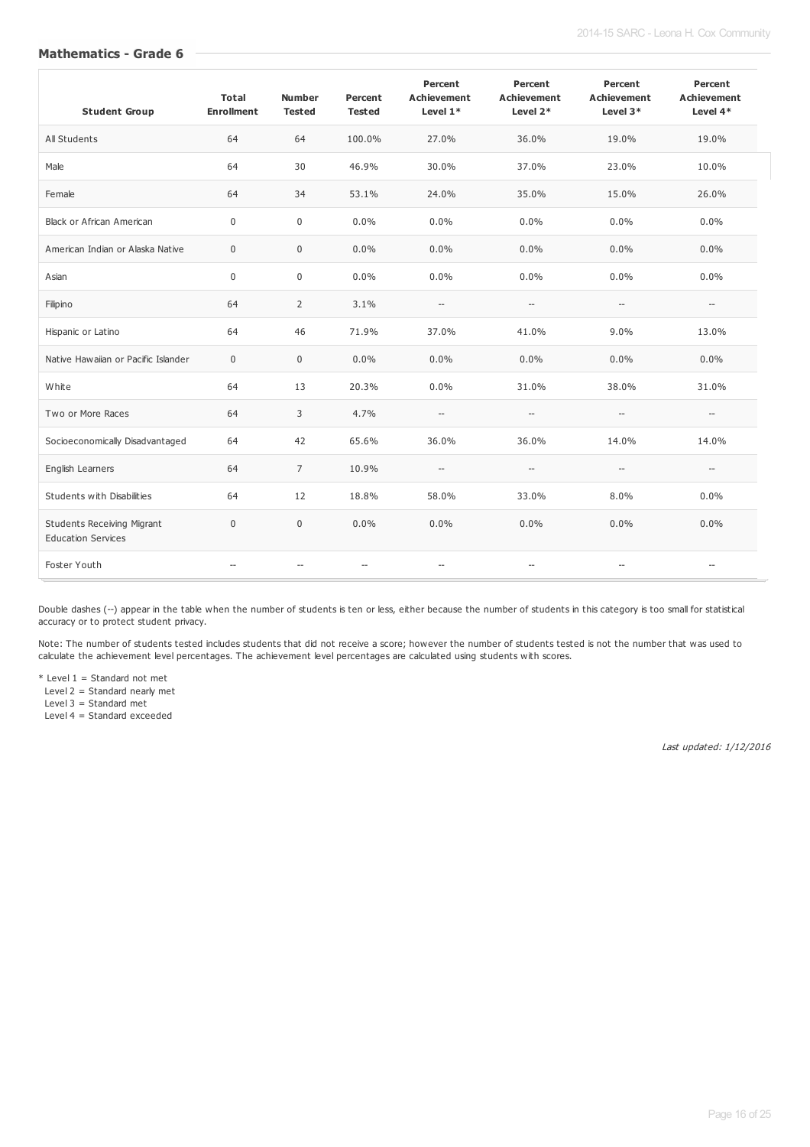#### **Mathematics - Grade 6**

| <b>Student Group</b>                                           | <b>Total</b><br><b>Enrollment</b> | <b>Number</b><br><b>Tested</b> | Percent<br><b>Tested</b> | Percent<br><b>Achievement</b><br>Level $1*$ | Percent<br><b>Achievement</b><br>Level 2* | Percent<br><b>Achievement</b><br>Level 3*           | Percent<br><b>Achievement</b><br>Level 4* |
|----------------------------------------------------------------|-----------------------------------|--------------------------------|--------------------------|---------------------------------------------|-------------------------------------------|-----------------------------------------------------|-------------------------------------------|
| All Students                                                   | 64                                | 64                             | 100.0%                   | 27.0%                                       | 36.0%                                     | 19.0%                                               | 19.0%                                     |
| Male                                                           | 64                                | 30                             | 46.9%                    | 30.0%                                       | 37.0%                                     | 23.0%                                               | 10.0%                                     |
| Female                                                         | 64                                | 34                             | 53.1%                    | 24.0%                                       | 35.0%                                     | 15.0%                                               | 26.0%                                     |
| <b>Black or African American</b>                               | $\mathbf 0$                       | $\mathbf 0$                    | 0.0%                     | 0.0%                                        | 0.0%                                      | 0.0%                                                | 0.0%                                      |
| American Indian or Alaska Native                               | $\mathbf 0$                       | $\mathbf 0$                    | 0.0%                     | 0.0%                                        | 0.0%                                      | 0.0%                                                | $0.0\%$                                   |
| Asian                                                          | $\mathbf 0$                       | $\mathbf 0$                    | $0.0\%$                  | 0.0%                                        | 0.0%                                      | 0.0%                                                | $0.0\%$                                   |
| Filipino                                                       | 64                                | 2                              | 3.1%                     | $\hspace{0.05cm} -\hspace{0.05cm}$          | $\hspace{0.05cm} -\hspace{0.05cm}$        | $\hspace{0.05cm} -\hspace{0.05cm} -\hspace{0.05cm}$ | $\hspace{0.05cm} -\hspace{0.05cm}$        |
| Hispanic or Latino                                             | 64                                | 46                             | 71.9%                    | 37.0%                                       | 41.0%                                     | 9.0%                                                | 13.0%                                     |
| Native Hawaiian or Pacific Islander                            | $\mathbf 0$                       | $\mathsf 0$                    | 0.0%                     | 0.0%                                        | 0.0%                                      | 0.0%                                                | 0.0%                                      |
| White                                                          | 64                                | 13                             | 20.3%                    | 0.0%                                        | 31.0%                                     | 38.0%                                               | 31.0%                                     |
| Two or More Races                                              | 64                                | 3                              | 4.7%                     | --                                          | $\hspace{0.05cm} -\hspace{0.05cm}$        | $\hspace{0.05cm} -\hspace{0.05cm}$                  | $\hspace{0.05cm} \ldots$                  |
| Socioeconomically Disadvantaged                                | 64                                | 42                             | 65.6%                    | 36.0%                                       | 36.0%                                     | 14.0%                                               | 14.0%                                     |
| English Learners                                               | 64                                | $\overline{7}$                 | 10.9%                    | --                                          | $\hspace{0.05cm} -\hspace{0.05cm}$        | $\overline{\phantom{a}}$                            | $\overline{\phantom{a}}$                  |
| Students with Disabilities                                     | 64                                | 12                             | 18.8%                    | 58.0%                                       | 33.0%                                     | 8.0%                                                | $0.0\%$                                   |
| <b>Students Receiving Migrant</b><br><b>Education Services</b> | $\mathbf 0$                       | $\boldsymbol{0}$               | 0.0%                     | 0.0%                                        | 0.0%                                      | 0.0%                                                | $0.0\%$                                   |
| Foster Youth                                                   | $\overline{\phantom{a}}$          | $\overline{\phantom{a}}$       | $\overline{\phantom{a}}$ | $\hspace{0.05cm} -\hspace{0.05cm}$          | $\overline{\phantom{a}}$                  | --                                                  | $\overline{\phantom{a}}$                  |

Double dashes (--) appear in the table when the number of students is ten or less, either because the number of students in this category is too small for statistical accuracy or to protect student privacy.

Note: The number of students tested includes students that did not receive a score; however the number of students tested is not the number that was used to calculate the achievement level percentages. The achievement level percentages are calculated using students with scores.

 $*$  Level 1 = Standard not met

Level 2 = Standard nearly met

Level 3 = Standard met

Level 4 = Standard exceeded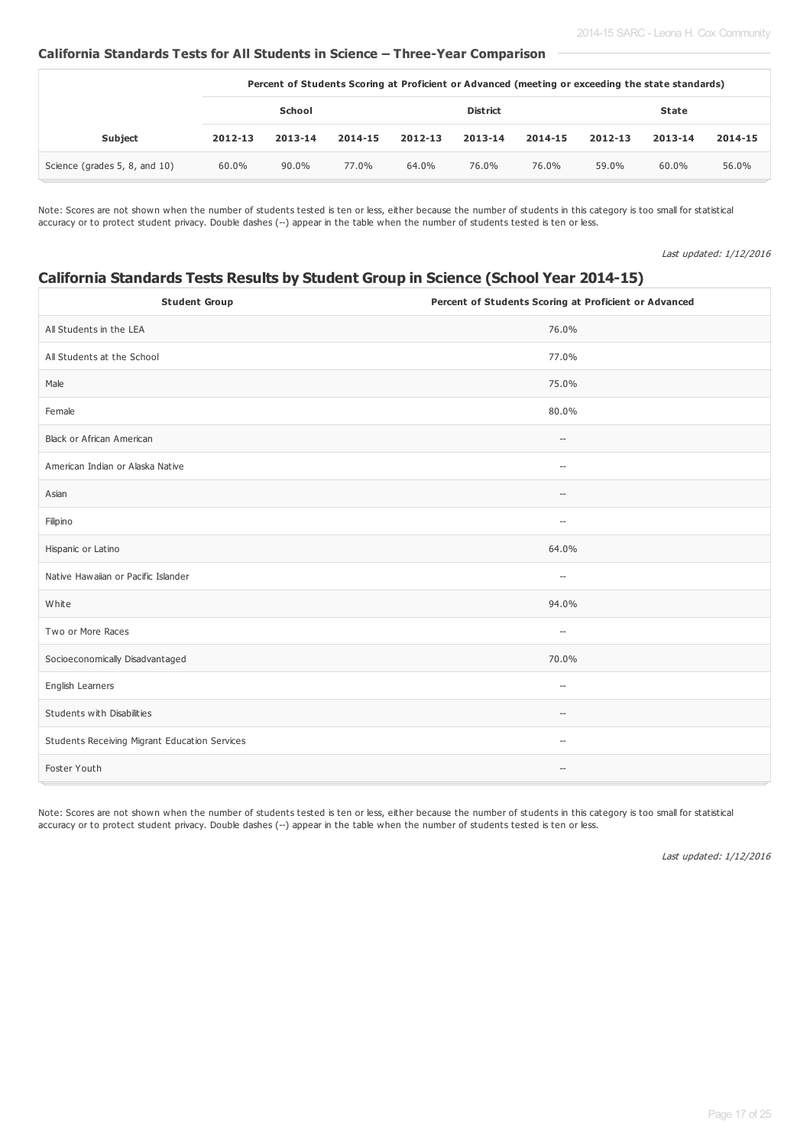## **California Standards Tests for All Students in Science – Three-Year Comparison**

|                               | Percent of Students Scoring at Proficient or Advanced (meeting or exceeding the state standards) |               |         |         |                 |         |         |          |         |
|-------------------------------|--------------------------------------------------------------------------------------------------|---------------|---------|---------|-----------------|---------|---------|----------|---------|
|                               |                                                                                                  | <b>School</b> |         |         | <b>District</b> |         |         | State    |         |
| <b>Subject</b>                | 2012-13                                                                                          | 2013-14       | 2014-15 | 2012-13 | 2013-14         | 2014-15 | 2012-13 | 2013-14  | 2014-15 |
| Science (grades 5, 8, and 10) | 60.0%                                                                                            | 90.0%         | 77.0%   | 64.0%   | 76.0%           | 76.0%   | 59.0%   | $60.0\%$ | 56.0%   |

Note: Scores are not shown when the number of students tested is ten or less, either because the number of students in this category is too small for statistical accuracy or to protect student privacy. Double dashes (--) appear in the table when the number of students tested is ten or less.

Last updated: 1/12/2016

# **California Standards Tests Results by Student Group in Science (School Year 2014-15)**

| <b>Student Group</b>                          | Percent of Students Scoring at Proficient or Advanced |
|-----------------------------------------------|-------------------------------------------------------|
| All Students in the LEA                       | 76.0%                                                 |
| All Students at the School                    | 77.0%                                                 |
| Male                                          | 75.0%                                                 |
| Female                                        | 80.0%                                                 |
| Black or African American                     | $\hspace{0.05cm} -\hspace{0.05cm} -\hspace{0.05cm}$   |
| American Indian or Alaska Native              | $\hspace{0.05cm} \ldots$                              |
| Asian                                         | $\hspace{0.05cm} \ldots$                              |
| Filipino                                      | $\overline{\phantom{a}}$                              |
| Hispanic or Latino                            | 64.0%                                                 |
| Native Hawaiian or Pacific Islander           | $\hspace{0.05cm} \ldots$                              |
| White                                         | 94.0%                                                 |
| Two or More Races                             | $\hspace{0.05cm} -\hspace{0.05cm} -\hspace{0.05cm}$   |
| Socioeconomically Disadvantaged               | 70.0%                                                 |
| English Learners                              | $\hspace{0.05cm} \ldots$                              |
| Students with Disabilities                    | $\hspace{0.05cm} \ldots$                              |
| Students Receiving Migrant Education Services | $\overline{\phantom{a}}$                              |
| Foster Youth                                  | $\hspace{0.05cm} -\hspace{0.05cm} -\hspace{0.05cm}$   |

Note: Scores are not shown when the number of students tested is ten or less, either because the number of students in this category is too small for statistical accuracy or to protect student privacy. Double dashes (--) appear in the table when the number of students tested is ten or less.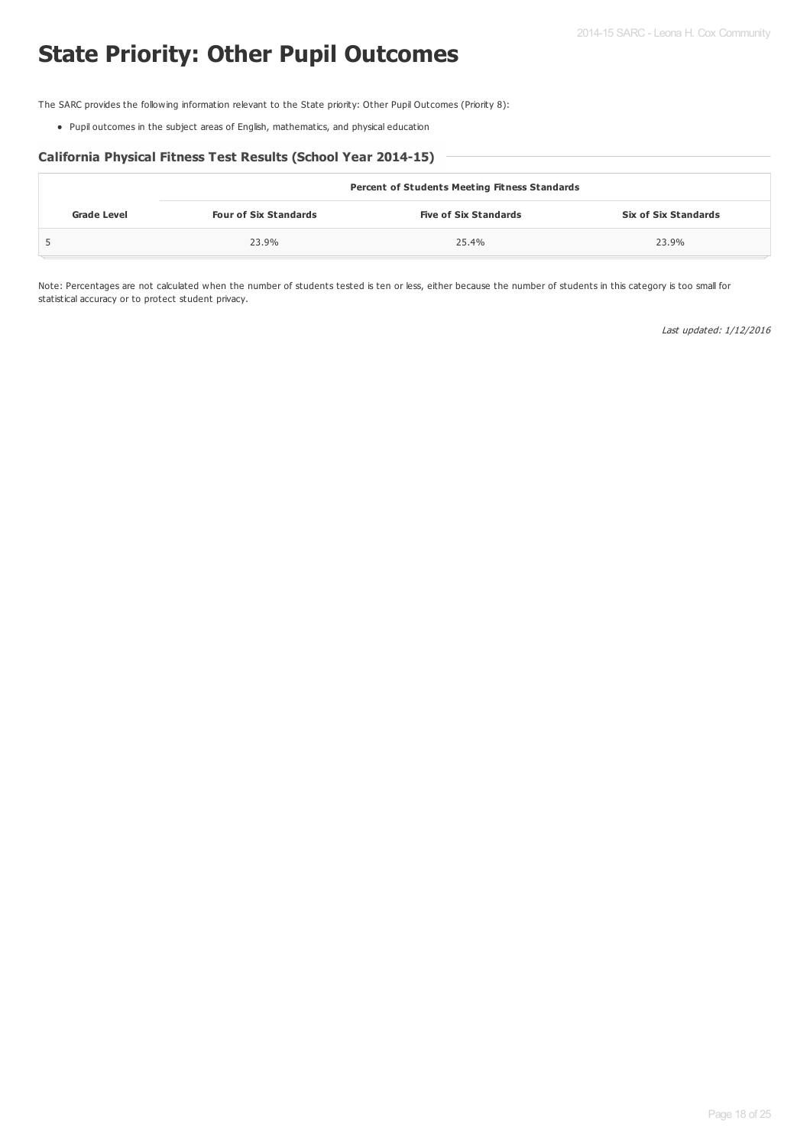# **State Priority: Other Pupil Outcomes**

The SARC provides the following information relevant to the State priority: Other Pupil Outcomes (Priority 8):

Pupil outcomes in the subject areas of English, mathematics, and physical education

#### **California Physical Fitness Test Results (School Year 2014-15)**

|                    | <b>Percent of Students Meeting Fitness Standards</b> |                              |                             |  |  |  |  |
|--------------------|------------------------------------------------------|------------------------------|-----------------------------|--|--|--|--|
| <b>Grade Level</b> | <b>Four of Six Standards</b>                         | <b>Five of Six Standards</b> | <b>Six of Six Standards</b> |  |  |  |  |
|                    | 23.9%                                                | 25.4%                        | 23.9%                       |  |  |  |  |

Note: Percentages are not calculated when the number of students tested is ten or less, either because the number of students in this category is too small for statistical accuracy or to protect student privacy.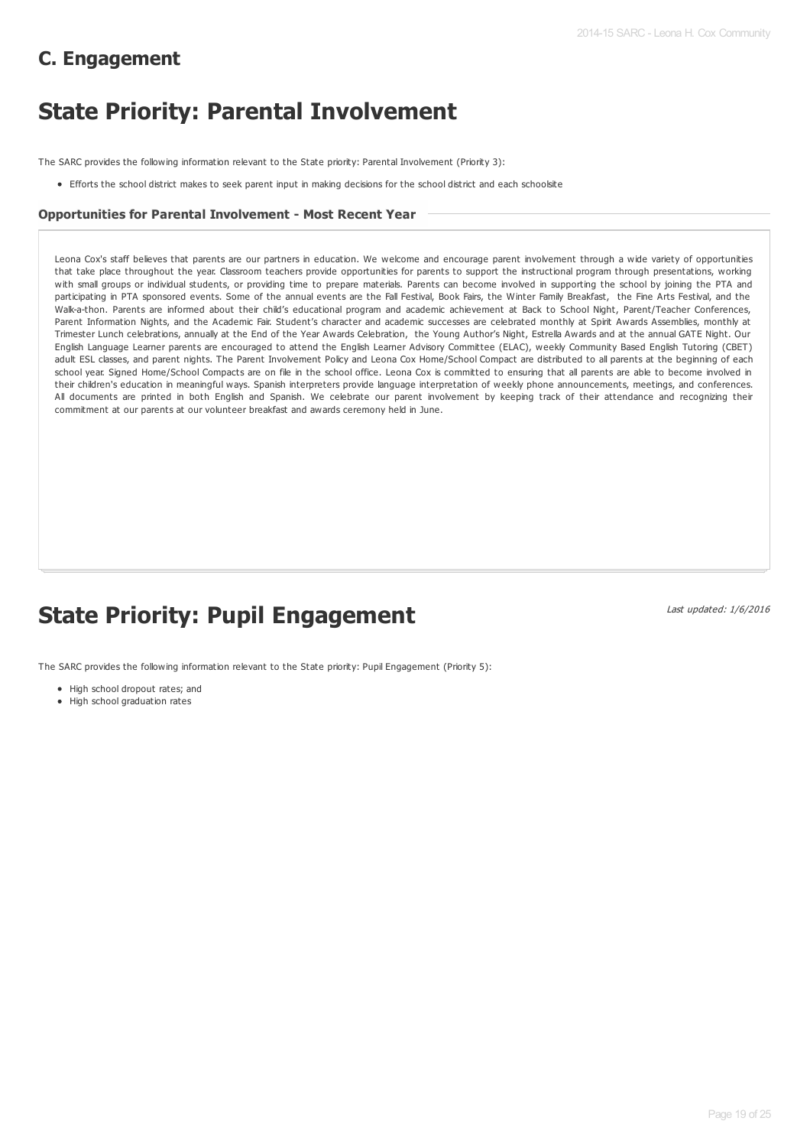# **C. Engagement**

# **State Priority: Parental Involvement**

The SARC provides the following information relevant to the State priority: Parental Involvement (Priority 3):

Efforts the school district makes to seek parent input in making decisions for the school district and each schoolsite

#### **Opportunities for Parental Involvement - Most Recent Year**

Leona Cox's staff believes that parents are our partners in education. We welcome and encourage parent involvement through a wide variety of opportunities that take place throughout the year. Classroom teachers provide opportunities for parents to support the instructional program through presentations, working with small groups or individual students, or providing time to prepare materials. Parents can become involved in supporting the school by joining the PTA and participating in PTA sponsored events. Some of the annual events are the Fall Festival, Book Fairs, the Winter Family Breakfast, the Fine Arts Festival, and the Walk-a-thon. Parents are informed about their child's educational program and academic achievement at Back to School Night, Parent/Teacher Conferences, Parent Information Nights, and the Academic Fair. Student's character and academic successes are celebrated monthly at Spirit Awards Assemblies, monthly at Trimester Lunch celebrations, annually at the End of the Year Awards Celebration, the Young Author's Night, Estrella Awards and at the annual GATE Night. Our English Language Learner parents are encouraged to attend the English Learner Advisory Committee (ELAC), weekly Community Based English Tutoring (CBET) adult ESL classes, and parent nights. The Parent Involvement Policy and Leona Cox Home/School Compact are distributed to all parents at the beginning of each school year. Signed Home/School Compacts are on file in the school office. Leona Cox is committed to ensuring that all parents are able to become involved in their children's education in meaningful ways. Spanish interpreters provide language interpretation of weekly phone announcements, meetings, and conferences. All documents are printed in both English and Spanish. We celebrate our parent involvement by keeping track of their attendance and recognizing their commitment at our parents at our volunteer breakfast and awards ceremony held in June.

# **State Priority: Pupil Engagement**

Last updated: 1/6/2016

The SARC provides the following information relevant to the State priority: Pupil Engagement (Priority 5):

- High school dropout rates; and
- High school graduation rates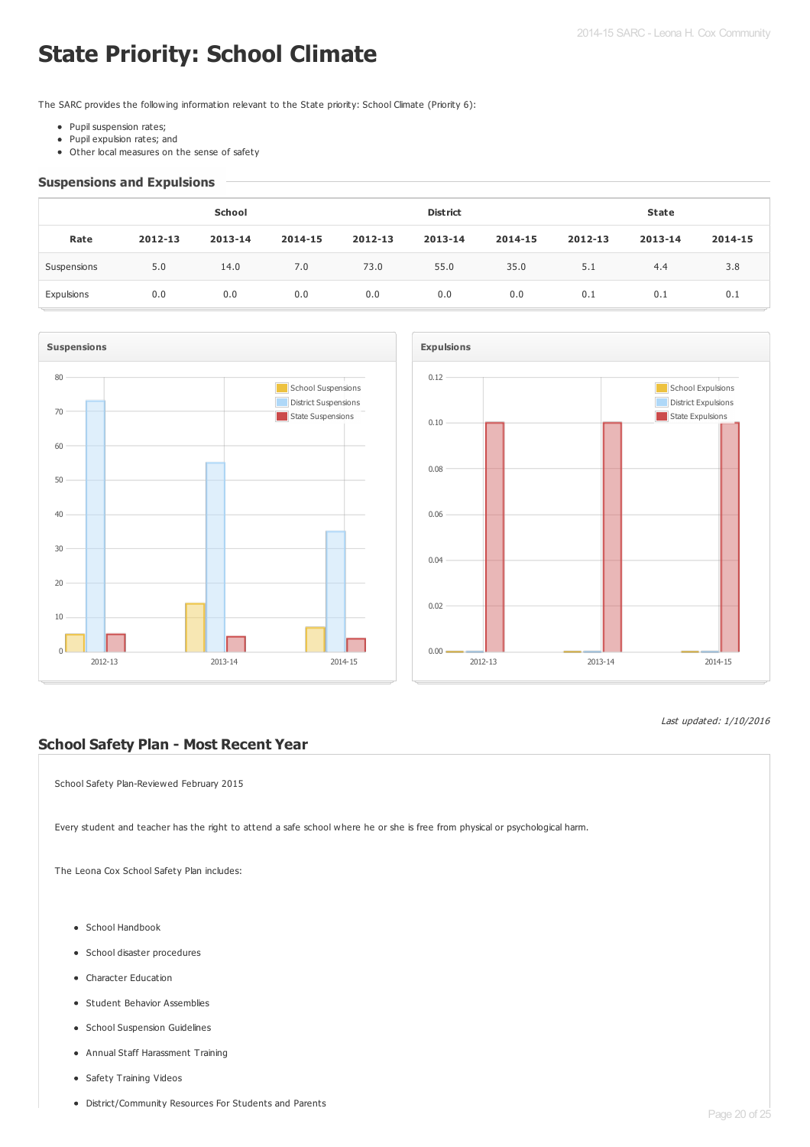# **State Priority: School Climate**

The SARC provides the following information relevant to the State priority: School Climate (Priority 6):

- Pupil suspension rates;
- Pupil expulsion rates; and
- Other local measures on the sense of safety

#### **Suspensions and Expulsions**

|             | <b>School</b> |         |         |         | <b>District</b> |         |         | <b>State</b> |         |  |
|-------------|---------------|---------|---------|---------|-----------------|---------|---------|--------------|---------|--|
| Rate        | 2012-13       | 2013-14 | 2014-15 | 2012-13 | 2013-14         | 2014-15 | 2012-13 | 2013-14      | 2014-15 |  |
| Suspensions | 5.0           | 14.0    | 7.0     | 73.0    | 55.0            | 35.0    | 5.1     | 4.4          | 3.8     |  |
| Expulsions  | 0.0           | 0.0     | 0.0     | 0.0     | 0.0             | 0.0     | 0.1     | 0.1          | 0.1     |  |





#### Last updated: 1/10/2016

## **School Safety Plan - Most Recent Year**

School Safety Plan-Reviewed February 2015

Every student and teacher has the right to attend a safe school where he or she is free from physical or psychological harm.

The Leona Cox School Safety Plan includes:

- School Handbook
- School disaster procedures
- Character Education
- **•** Student Behavior Assemblies
- **•** School Suspension Guidelines
- Annual Staff Harassment Training
- Safety Training Videos
- District/Community Resources For Students and Parents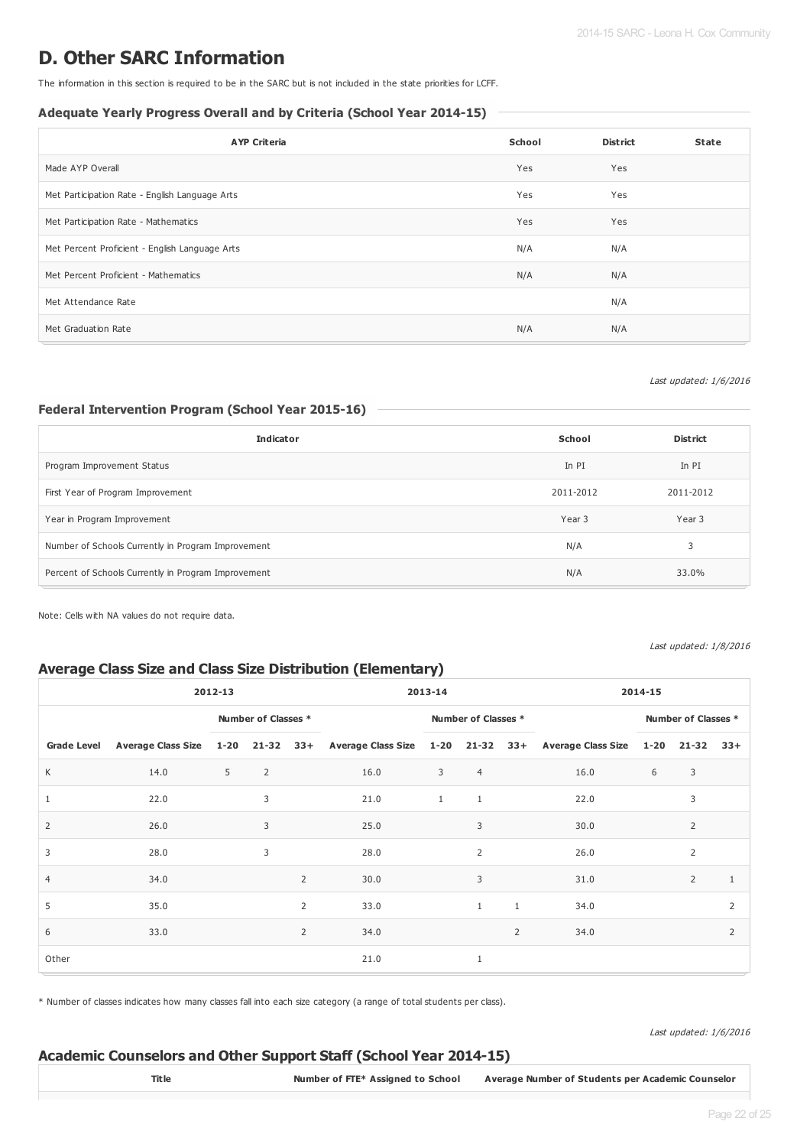# **D. Other SARC Information**

The information in this section is required to be in the SARC but is not included in the state priorities for LCFF.

#### **Adequate Yearly Progress Overall and by Criteria (School Year 2014-15)**

| <b>AYP Criteria</b>                            | School | <b>District</b> | <b>State</b> |
|------------------------------------------------|--------|-----------------|--------------|
| Made AYP Overall                               | Yes    | Yes             |              |
| Met Participation Rate - English Language Arts | Yes    | Yes             |              |
| Met Participation Rate - Mathematics           | Yes    | Yes             |              |
| Met Percent Proficient - English Language Arts | N/A    | N/A             |              |
| Met Percent Proficient - Mathematics           | N/A    | N/A             |              |
| Met Attendance Rate                            |        | N/A             |              |
| Met Graduation Rate                            | N/A    | N/A             |              |

#### Last updated: 1/6/2016

## **Federal Intervention Program (School Year 2015-16)**

| <b>Indicator</b>                                    | School    | <b>District</b> |
|-----------------------------------------------------|-----------|-----------------|
| Program Improvement Status                          | In PI     | In PI           |
| First Year of Program Improvement                   | 2011-2012 | 2011-2012       |
| Year in Program Improvement                         | Year 3    | Year 3          |
| Number of Schools Currently in Program Improvement  | N/A       | 3               |
| Percent of Schools Currently in Program Improvement | N/A       | 33.0%           |

Note: Cells with NA values do not require data.

Last updated: 1/8/2016

## **Average Class Size and Class Size Distribution (Elementary)**

| 2012-13            |      |                     | 2013-14 |                |                     | 2014-15      |                |                |                                                                                                       |   |                |                |
|--------------------|------|---------------------|---------|----------------|---------------------|--------------|----------------|----------------|-------------------------------------------------------------------------------------------------------|---|----------------|----------------|
|                    |      | Number of Classes * |         |                | Number of Classes * |              |                |                | Number of Classes *                                                                                   |   |                |                |
| <b>Grade Level</b> |      |                     |         |                |                     |              |                |                | Average Class Size 1-20 21-32 33+ Average Class Size 1-20 21-32 33+ Average Class Size 1-20 21-32 33+ |   |                |                |
| K                  | 14.0 | 5                   | 2       |                | 16.0                | 3            | $\overline{4}$ |                | 16.0                                                                                                  | 6 | 3              |                |
|                    | 22.0 |                     | 3       |                | 21.0                | $\mathbf{1}$ | $1\,$          |                | 22.0                                                                                                  |   | 3              |                |
| 2                  | 26.0 |                     | 3       |                | 25.0                |              | 3              |                | 30.0                                                                                                  |   | $\overline{2}$ |                |
| 3                  | 28.0 |                     | 3       |                | 28.0                |              | 2              |                | 26.0                                                                                                  |   | $\overline{2}$ |                |
| $\overline{4}$     | 34.0 |                     |         | $\overline{2}$ | 30.0                |              | 3              |                | 31.0                                                                                                  |   | $\overline{2}$ | $\mathbf{1}$   |
| 5                  | 35.0 |                     |         | $\overline{2}$ | 33.0                |              | $\mathbf{1}$   | $\mathbf{1}$   | 34.0                                                                                                  |   |                | $\overline{2}$ |
| 6                  | 33.0 |                     |         | $\overline{2}$ | 34.0                |              |                | $\overline{2}$ | 34.0                                                                                                  |   |                | $\overline{2}$ |
| Other              |      |                     |         |                | 21.0                |              | 1              |                |                                                                                                       |   |                |                |

\* Number of classes indicates how many classes fall into each size category (a range of total students per class).

Last updated: 1/6/2016

## **Academic Counselors and Other Support Staff (School Year 2014-15)**

**Title Number of FTE\* Assigned to School Average Number of Students per Academic Counselor**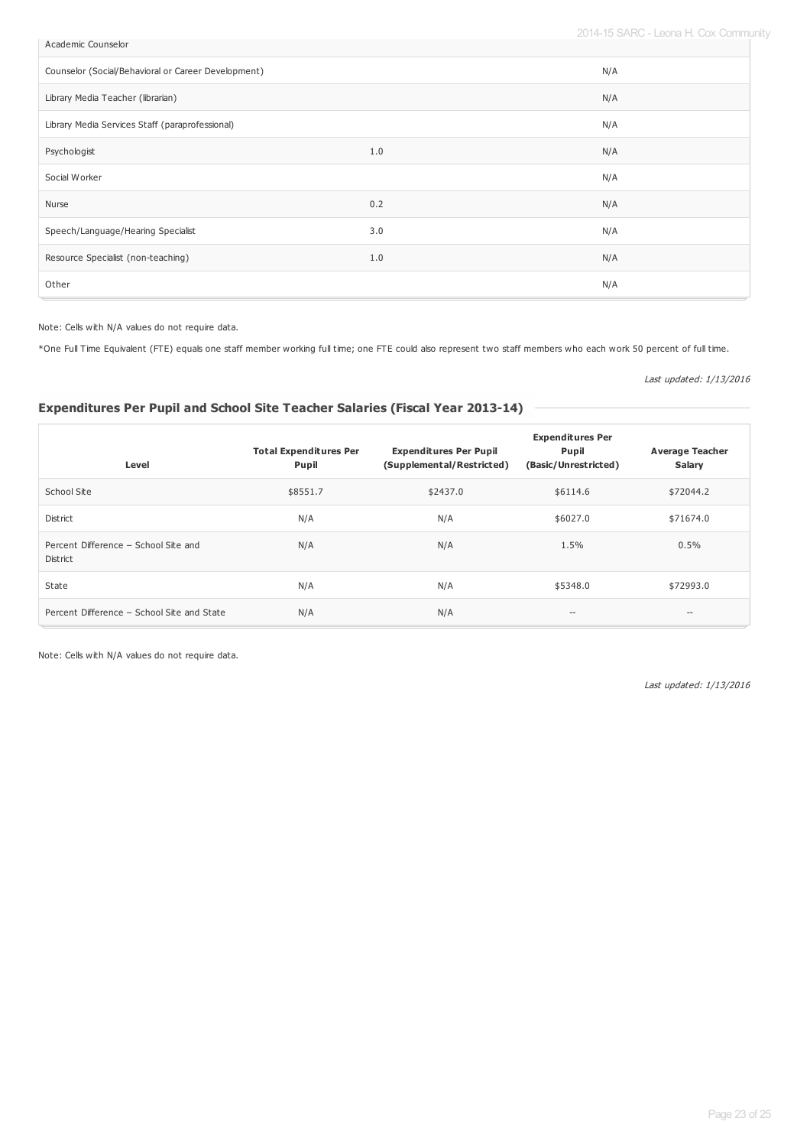2014-15 SARC - Leona H. Cox Community

| Academic Counselor                                  |     | ---------- |
|-----------------------------------------------------|-----|------------|
| Counselor (Social/Behavioral or Career Development) |     | N/A        |
| Library Media Teacher (librarian)                   |     | N/A        |
| Library Media Services Staff (paraprofessional)     |     | N/A        |
| Psychologist                                        | 1.0 | N/A        |
| Social Worker                                       |     | N/A        |
| Nurse                                               | 0.2 | N/A        |
| Speech/Language/Hearing Specialist                  | 3.0 | N/A        |
| Resource Specialist (non-teaching)                  | 1.0 | N/A        |
| Other                                               |     | N/A        |

Note: Cells with N/A values do not require data.

\*One Full Time Equivalent (FTE) equals one staff member working full time; one FTE could also represent two staff members who each work 50 percent of full time.

Last updated: 1/13/2016

# **Expenditures Per Pupil and School Site Teacher Salaries (Fiscal Year 2013-14)**

| Level                                            | <b>Total Expenditures Per</b><br><b>Pupil</b> | <b>Expenditures Per Pupil</b><br>(Supplemental/Restricted) | <b>Expenditures Per</b><br>Pupil<br>(Basic/Unrestricted) | <b>Average Teacher</b><br>Salary |
|--------------------------------------------------|-----------------------------------------------|------------------------------------------------------------|----------------------------------------------------------|----------------------------------|
| School Site                                      | \$8551.7                                      | \$2437.0                                                   | \$6114.6                                                 | \$72044.2                        |
| District                                         | N/A                                           | N/A                                                        | \$6027.0                                                 | \$71674.0                        |
| Percent Difference - School Site and<br>District | N/A                                           | N/A                                                        | 1.5%                                                     | 0.5%                             |
| State                                            | N/A                                           | N/A                                                        | \$5348.0                                                 | \$72993.0                        |
| Percent Difference - School Site and State       | N/A                                           | N/A                                                        | $- -$                                                    | $\hspace{0.05cm} -$              |

Note: Cells with N/A values do not require data.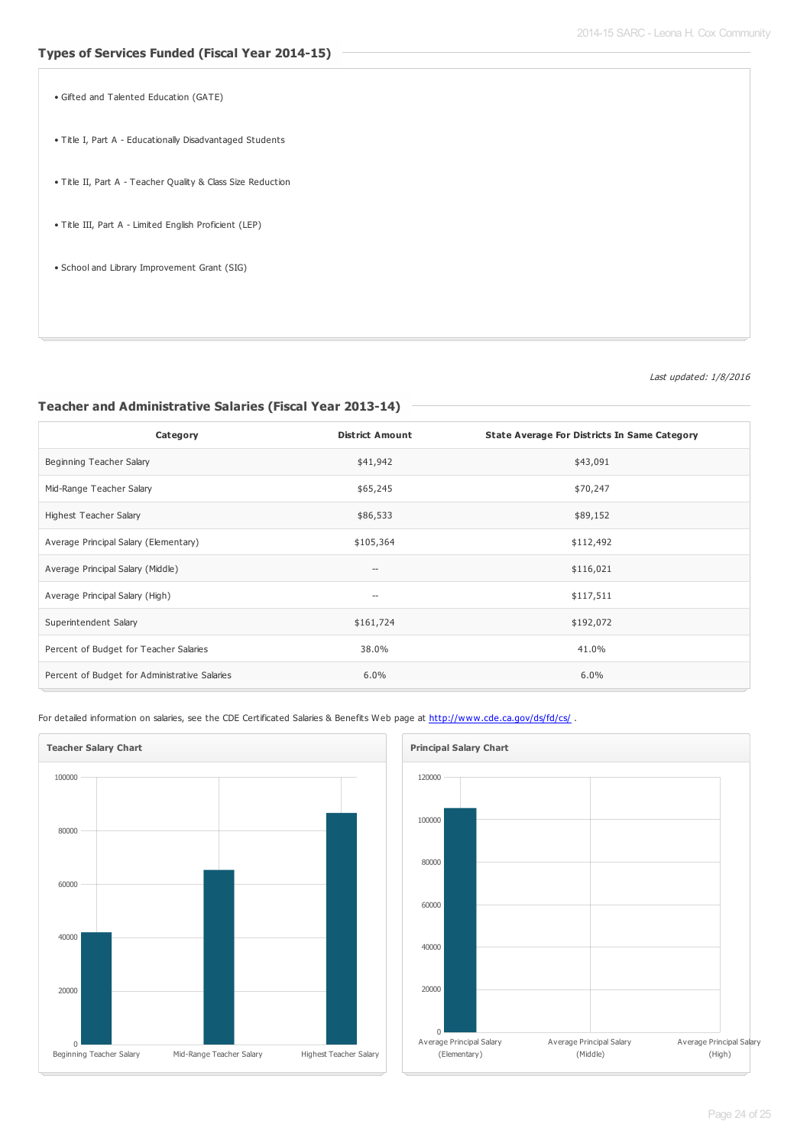- Gifted and Talented Education (GATE)
- Title I, Part A Educationally Disadvantaged Students
- Title II, Part A Teacher Quality & Class Size Reduction
- Title III, Part A Limited English Proficient (LEP)
- School and Library Improvement Grant (SIG)

Last updated: 1/8/2016

#### **Teacher and Administrative Salaries (Fiscal Year 2013-14)**

| Category                                      | <b>District Amount</b>             | <b>State Average For Districts In Same Category</b> |
|-----------------------------------------------|------------------------------------|-----------------------------------------------------|
| Beginning Teacher Salary                      | \$41,942                           | \$43,091                                            |
| Mid-Range Teacher Salary                      | \$65,245                           | \$70,247                                            |
| Highest Teacher Salary                        | \$86,533                           | \$89,152                                            |
| Average Principal Salary (Elementary)         | \$105,364                          | \$112,492                                           |
| Average Principal Salary (Middle)             | $--$                               | \$116,021                                           |
| Average Principal Salary (High)               | $\hspace{0.05cm}--\hspace{0.05cm}$ | \$117,511                                           |
| Superintendent Salary                         | \$161,724                          | \$192,072                                           |
| Percent of Budget for Teacher Salaries        | 38.0%                              | 41.0%                                               |
| Percent of Budget for Administrative Salaries | 6.0%                               | 6.0%                                                |

For detailed information on salaries, see the CDE Certificated Salaries & Benefits Web page at <http://www.cde.ca.gov/ds/fd/cs/> .